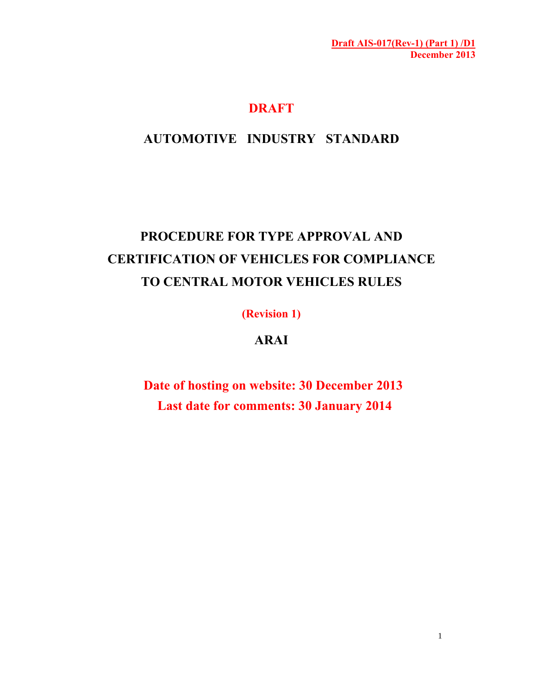# **DRAFT**

# **AUTOMOTIVE INDUSTRY STANDARD**

# **PROCEDURE FOR TYPE APPROVAL AND CERTIFICATION OF VEHICLES FOR COMPLIANCE TO CENTRAL MOTOR VEHICLES RULES**

**(Revision 1)** 

# **ARAI**

**Date of hosting on website: 30 December 2013 Last date for comments: 30 January 2014**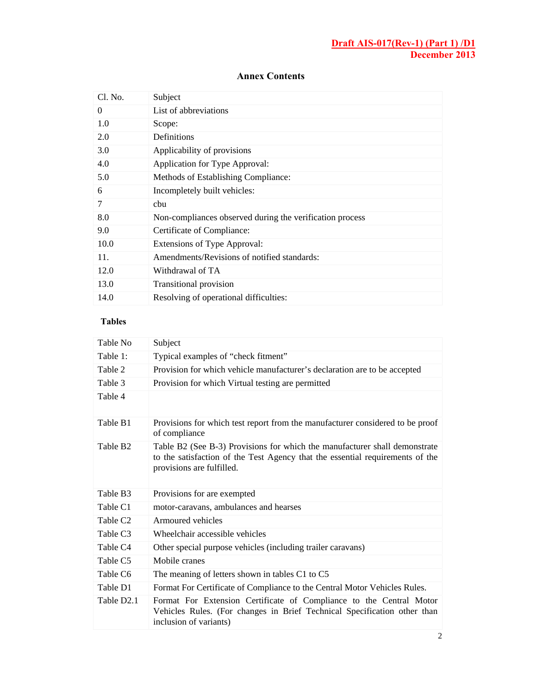#### **Annex Contents**

| Cl. No.  | Subject                                                  |  |  |
|----------|----------------------------------------------------------|--|--|
| $\Omega$ | List of abbreviations                                    |  |  |
| 1.0      | Scope:                                                   |  |  |
| 2.0      | Definitions                                              |  |  |
| 3.0      | Applicability of provisions                              |  |  |
| 4.0      | Application for Type Approval:                           |  |  |
| 5.0      | Methods of Establishing Compliance:                      |  |  |
| 6        | Incompletely built vehicles:                             |  |  |
| 7        | chu                                                      |  |  |
| 8.0      | Non-compliances observed during the verification process |  |  |
| 9.0      | Certificate of Compliance:                               |  |  |
| 10.0     | Extensions of Type Approval:                             |  |  |
| 11.      | Amendments/Revisions of notified standards:              |  |  |
| 12.0     | Withdrawal of TA                                         |  |  |
| 13.0     | <b>Transitional provision</b>                            |  |  |
| 14.0     | Resolving of operational difficulties:                   |  |  |

# **Tables**

| Table No               | Subject                                                                                                                                                                                  |  |  |  |
|------------------------|------------------------------------------------------------------------------------------------------------------------------------------------------------------------------------------|--|--|--|
| Table 1:               | Typical examples of "check fitment"                                                                                                                                                      |  |  |  |
| Table 2                | Provision for which vehicle manufacturer's declaration are to be accepted                                                                                                                |  |  |  |
| Table 3                | Provision for which Virtual testing are permitted                                                                                                                                        |  |  |  |
| Table 4                |                                                                                                                                                                                          |  |  |  |
| Table B1               | Provisions for which test report from the manufacturer considered to be proof<br>of compliance                                                                                           |  |  |  |
| Table B <sub>2</sub>   | Table B2 (See B-3) Provisions for which the manufacturer shall demonstrate<br>to the satisfaction of the Test Agency that the essential requirements of the<br>provisions are fulfilled. |  |  |  |
| Table B3               | Provisions for are exempted                                                                                                                                                              |  |  |  |
| Table C1               | motor-caravans, ambulances and hearses                                                                                                                                                   |  |  |  |
| Table C <sub>2</sub>   | Armoured vehicles                                                                                                                                                                        |  |  |  |
| Table C <sub>3</sub>   | Wheelchair accessible vehicles                                                                                                                                                           |  |  |  |
| Table C <sub>4</sub>   | Other special purpose vehicles (including trailer caravans)                                                                                                                              |  |  |  |
| Table C <sub>5</sub>   | Mobile cranes                                                                                                                                                                            |  |  |  |
| Table C6               | The meaning of letters shown in tables C1 to C5                                                                                                                                          |  |  |  |
| Table D1               | Format For Certificate of Compliance to the Central Motor Vehicles Rules.                                                                                                                |  |  |  |
| Table D <sub>2.1</sub> | Format For Extension Certificate of Compliance to the Central Motor<br>Vehicles Rules. (For changes in Brief Technical Specification other than<br>inclusion of variants)                |  |  |  |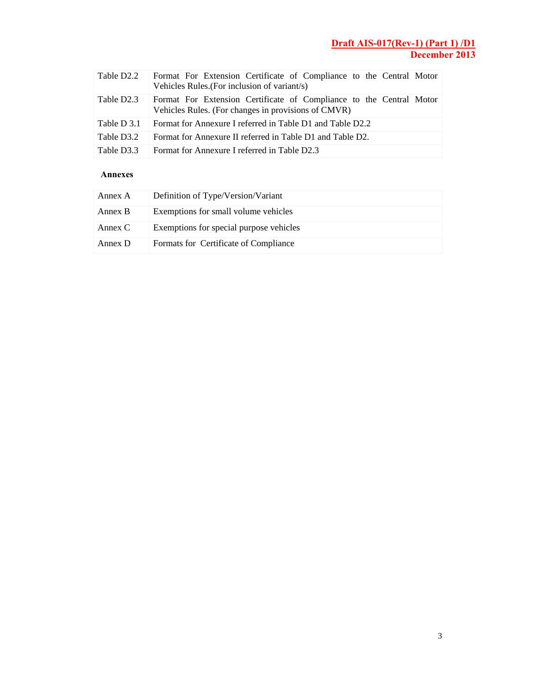| Table D2.2  | Format For Extension Certificate of Compliance to the Central Motor<br>Vehicles Rules. (For inclusion of variant/s)        |
|-------------|----------------------------------------------------------------------------------------------------------------------------|
| Table D2.3  | Format For Extension Certificate of Compliance to the Central Motor<br>Vehicles Rules. (For changes in provisions of CMVR) |
| Table D 3.1 | Format for Annexure I referred in Table D1 and Table D2.2                                                                  |
| Table D3.2  | Format for Annexure II referred in Table D1 and Table D2.                                                                  |
| Table D3.3  | Format for Annexure I referred in Table D2.3                                                                               |

#### **Annexes**

| Annex A | Definition of Type/Version/Variant      |
|---------|-----------------------------------------|
| Annex B | Exemptions for small volume vehicles    |
| Annex C | Exemptions for special purpose vehicles |
| Annex D | Formats for Certificate of Compliance   |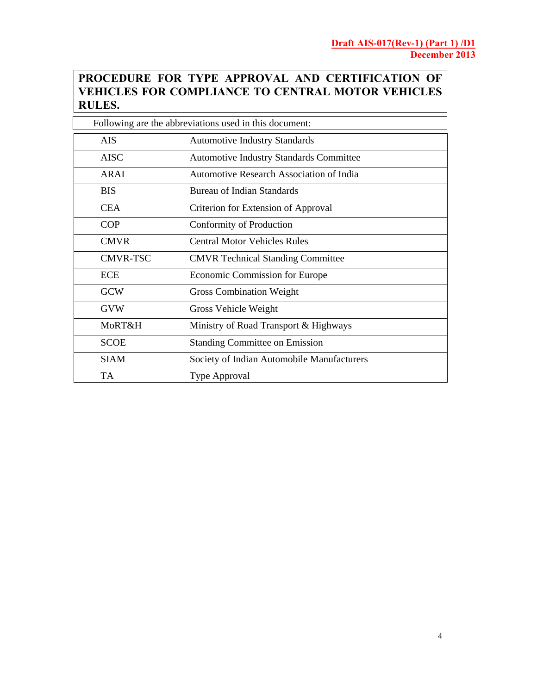# **PROCEDURE FOR TYPE APPROVAL AND CERTIFICATION OF VEHICLES FOR COMPLIANCE TO CENTRAL MOTOR VEHICLES RULES.**

| Following are the abbreviations used in this document: |                                                 |  |
|--------------------------------------------------------|-------------------------------------------------|--|
| <b>AIS</b>                                             | <b>Automotive Industry Standards</b>            |  |
| <b>AISC</b>                                            | Automotive Industry Standards Committee         |  |
| <b>ARAI</b>                                            | <b>Automotive Research Association of India</b> |  |
| <b>BIS</b>                                             | Bureau of Indian Standards                      |  |
| <b>CEA</b>                                             | Criterion for Extension of Approval             |  |
| <b>COP</b>                                             | Conformity of Production                        |  |
| <b>CMVR</b>                                            | <b>Central Motor Vehicles Rules</b>             |  |
| <b>CMVR-TSC</b>                                        | <b>CMVR</b> Technical Standing Committee        |  |
| ECE                                                    | Economic Commission for Europe                  |  |
| <b>GCW</b>                                             | <b>Gross Combination Weight</b>                 |  |
| <b>GVW</b>                                             | Gross Vehicle Weight                            |  |
| MoRT&H                                                 | Ministry of Road Transport & Highways           |  |
| <b>SCOE</b>                                            | <b>Standing Committee on Emission</b>           |  |
| <b>SIAM</b>                                            | Society of Indian Automobile Manufacturers      |  |
| <b>TA</b>                                              | Type Approval                                   |  |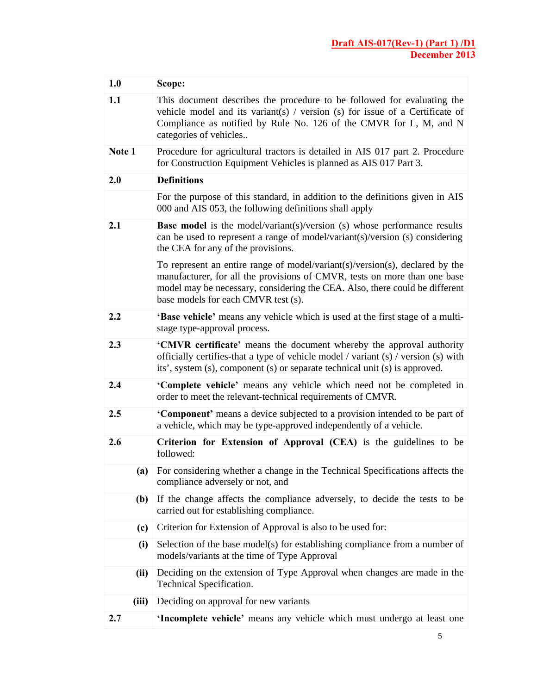| 1.0    |                                                                                                                                                                                                       | Scope:                                                                                                                                                                                                                                                                          |  |  |  |
|--------|-------------------------------------------------------------------------------------------------------------------------------------------------------------------------------------------------------|---------------------------------------------------------------------------------------------------------------------------------------------------------------------------------------------------------------------------------------------------------------------------------|--|--|--|
| 1.1    |                                                                                                                                                                                                       | This document describes the procedure to be followed for evaluating the<br>vehicle model and its variant(s) / version (s) for issue of a Certificate of<br>Compliance as notified by Rule No. 126 of the CMVR for L, M, and N<br>categories of vehicles                         |  |  |  |
| Note 1 |                                                                                                                                                                                                       | Procedure for agricultural tractors is detailed in AIS 017 part 2. Procedure<br>for Construction Equipment Vehicles is planned as AIS 017 Part 3.                                                                                                                               |  |  |  |
| 2.0    |                                                                                                                                                                                                       | <b>Definitions</b>                                                                                                                                                                                                                                                              |  |  |  |
|        |                                                                                                                                                                                                       | For the purpose of this standard, in addition to the definitions given in AIS<br>000 and AIS 053, the following definitions shall apply                                                                                                                                         |  |  |  |
| 2.1    | <b>Base model</b> is the model/variant(s)/version (s) whose performance results<br>can be used to represent a range of model/variant(s)/version (s) considering<br>the CEA for any of the provisions. |                                                                                                                                                                                                                                                                                 |  |  |  |
|        |                                                                                                                                                                                                       | To represent an entire range of model/variant(s)/version(s), declared by the<br>manufacturer, for all the provisions of CMVR, tests on more than one base<br>model may be necessary, considering the CEA. Also, there could be different<br>base models for each CMVR test (s). |  |  |  |
| 2.2    |                                                                                                                                                                                                       | 'Base vehicle' means any vehicle which is used at the first stage of a multi-<br>stage type-approval process.                                                                                                                                                                   |  |  |  |
| 2.3    |                                                                                                                                                                                                       | 'CMVR certificate' means the document whereby the approval authority<br>officially certifies-that a type of vehicle model / variant (s) / version (s) with<br>its', system (s), component (s) or separate technical unit (s) is approved.                                       |  |  |  |
| 2.4    |                                                                                                                                                                                                       | 'Complete vehicle' means any vehicle which need not be completed in<br>order to meet the relevant-technical requirements of CMVR.                                                                                                                                               |  |  |  |
| 2.5    |                                                                                                                                                                                                       | 'Component' means a device subjected to a provision intended to be part of<br>a vehicle, which may be type-approved independently of a vehicle.                                                                                                                                 |  |  |  |
| 2.6    |                                                                                                                                                                                                       | Criterion for Extension of Approval (CEA) is the guidelines to be<br>followed:                                                                                                                                                                                                  |  |  |  |
|        |                                                                                                                                                                                                       | (a) For considering whether a change in the Technical Specifications affects the<br>compliance adversely or not, and                                                                                                                                                            |  |  |  |
|        | (b)                                                                                                                                                                                                   | If the change affects the compliance adversely, to decide the tests to be<br>carried out for establishing compliance.                                                                                                                                                           |  |  |  |
|        | (c)                                                                                                                                                                                                   | Criterion for Extension of Approval is also to be used for:                                                                                                                                                                                                                     |  |  |  |
|        | (i)                                                                                                                                                                                                   | Selection of the base model(s) for establishing compliance from a number of<br>models/variants at the time of Type Approval                                                                                                                                                     |  |  |  |
|        | (ii)                                                                                                                                                                                                  | Deciding on the extension of Type Approval when changes are made in the<br>Technical Specification.                                                                                                                                                                             |  |  |  |
|        | (iii)                                                                                                                                                                                                 | Deciding on approval for new variants                                                                                                                                                                                                                                           |  |  |  |
| 2.7    |                                                                                                                                                                                                       | 'Incomplete vehicle' means any vehicle which must undergo at least one                                                                                                                                                                                                          |  |  |  |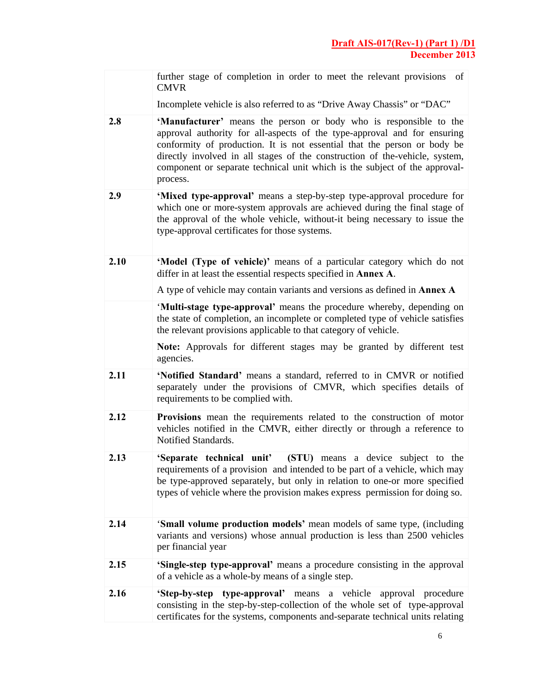|      | further stage of completion in order to meet the relevant provisions<br>of<br><b>CMVR</b>                                                                                                                                                                                                                                                                                                          |
|------|----------------------------------------------------------------------------------------------------------------------------------------------------------------------------------------------------------------------------------------------------------------------------------------------------------------------------------------------------------------------------------------------------|
|      | Incomplete vehicle is also referred to as "Drive Away Chassis" or "DAC"                                                                                                                                                                                                                                                                                                                            |
| 2.8  | 'Manufacturer' means the person or body who is responsible to the<br>approval authority for all-aspects of the type-approval and for ensuring<br>conformity of production. It is not essential that the person or body be<br>directly involved in all stages of the construction of the-vehicle, system,<br>component or separate technical unit which is the subject of the approval-<br>process. |
| 2.9  | 'Mixed type-approval' means a step-by-step type-approval procedure for<br>which one or more-system approvals are achieved during the final stage of<br>the approval of the whole vehicle, without-it being necessary to issue the<br>type-approval certificates for those systems.                                                                                                                 |
| 2.10 | 'Model (Type of vehicle)' means of a particular category which do not<br>differ in at least the essential respects specified in <b>Annex A</b> .                                                                                                                                                                                                                                                   |
|      | A type of vehicle may contain variants and versions as defined in <b>Annex A</b>                                                                                                                                                                                                                                                                                                                   |
|      | 'Multi-stage type-approval' means the procedure whereby, depending on<br>the state of completion, an incomplete or completed type of vehicle satisfies<br>the relevant provisions applicable to that category of vehicle.                                                                                                                                                                          |
|      | Note: Approvals for different stages may be granted by different test<br>agencies.                                                                                                                                                                                                                                                                                                                 |
| 2.11 | 'Notified Standard' means a standard, referred to in CMVR or notified<br>separately under the provisions of CMVR, which specifies details of<br>requirements to be complied with.                                                                                                                                                                                                                  |
| 2.12 | Provisions mean the requirements related to the construction of motor<br>vehicles notified in the CMVR, either directly or through a reference to<br>Notified Standards.                                                                                                                                                                                                                           |
| 2.13 | (STU) means a device subject to the<br>'Separate technical unit'<br>requirements of a provision and intended to be part of a vehicle, which may<br>be type-approved separately, but only in relation to one-or more specified<br>types of vehicle where the provision makes express permission for doing so.                                                                                       |
| 2.14 | 'Small volume production models' mean models of same type, (including<br>variants and versions) whose annual production is less than 2500 vehicles<br>per financial year                                                                                                                                                                                                                           |
| 2.15 | 'Single-step type-approval' means a procedure consisting in the approval<br>of a vehicle as a whole-by means of a single step.                                                                                                                                                                                                                                                                     |
| 2.16 | 'Step-by-step type-approval' means a vehicle approval procedure<br>consisting in the step-by-step-collection of the whole set of type-approval<br>certificates for the systems, components and-separate technical units relating                                                                                                                                                                   |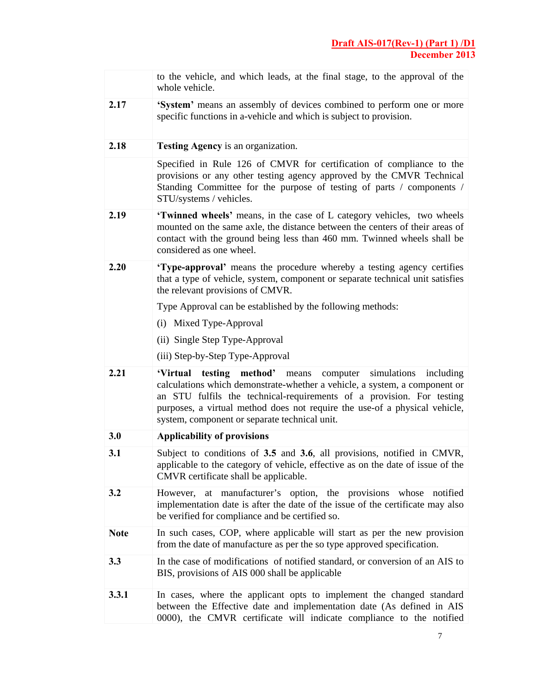|             | to the vehicle, and which leads, at the final stage, to the approval of the<br>whole vehicle.                                                                                                                                                                                                                                                             |  |  |
|-------------|-----------------------------------------------------------------------------------------------------------------------------------------------------------------------------------------------------------------------------------------------------------------------------------------------------------------------------------------------------------|--|--|
| 2.17        | 'System' means an assembly of devices combined to perform one or more<br>specific functions in a-vehicle and which is subject to provision.                                                                                                                                                                                                               |  |  |
| 2.18        | <b>Testing Agency</b> is an organization.                                                                                                                                                                                                                                                                                                                 |  |  |
|             | Specified in Rule 126 of CMVR for certification of compliance to the<br>provisions or any other testing agency approved by the CMVR Technical<br>Standing Committee for the purpose of testing of parts / components /<br>STU/systems / vehicles.                                                                                                         |  |  |
| 2.19        | 'Twinned wheels' means, in the case of L category vehicles, two wheels<br>mounted on the same axle, the distance between the centers of their areas of<br>contact with the ground being less than 460 mm. Twinned wheels shall be<br>considered as one wheel.                                                                                             |  |  |
| 2.20        | 'Type-approval' means the procedure whereby a testing agency certifies<br>that a type of vehicle, system, component or separate technical unit satisfies<br>the relevant provisions of CMVR.                                                                                                                                                              |  |  |
|             | Type Approval can be established by the following methods:                                                                                                                                                                                                                                                                                                |  |  |
|             | (i) Mixed Type-Approval                                                                                                                                                                                                                                                                                                                                   |  |  |
|             | (ii) Single Step Type-Approval                                                                                                                                                                                                                                                                                                                            |  |  |
|             | (iii) Step-by-Step Type-Approval                                                                                                                                                                                                                                                                                                                          |  |  |
| 2.21        | 'Virtual testing method' means<br>computer simulations<br>including<br>calculations which demonstrate-whether a vehicle, a system, a component or<br>an STU fulfils the technical-requirements of a provision. For testing<br>purposes, a virtual method does not require the use-of a physical vehicle,<br>system, component or separate technical unit. |  |  |
| 3.0         | <b>Applicability of provisions</b>                                                                                                                                                                                                                                                                                                                        |  |  |
| 3.1         | Subject to conditions of 3.5 and 3.6, all provisions, notified in CMVR,<br>applicable to the category of vehicle, effective as on the date of issue of the<br>CMVR certificate shall be applicable.                                                                                                                                                       |  |  |
| 3.2         | However, at manufacturer's option, the provisions<br>whose<br>notified<br>implementation date is after the date of the issue of the certificate may also<br>be verified for compliance and be certified so.                                                                                                                                               |  |  |
| <b>Note</b> | In such cases, COP, where applicable will start as per the new provision<br>from the date of manufacture as per the so type approved specification.                                                                                                                                                                                                       |  |  |
| 3.3         | In the case of modifications of notified standard, or conversion of an AIS to<br>BIS, provisions of AIS 000 shall be applicable                                                                                                                                                                                                                           |  |  |
| 3.3.1       | In cases, where the applicant opts to implement the changed standard<br>between the Effective date and implementation date (As defined in AIS<br>0000), the CMVR certificate will indicate compliance to the notified                                                                                                                                     |  |  |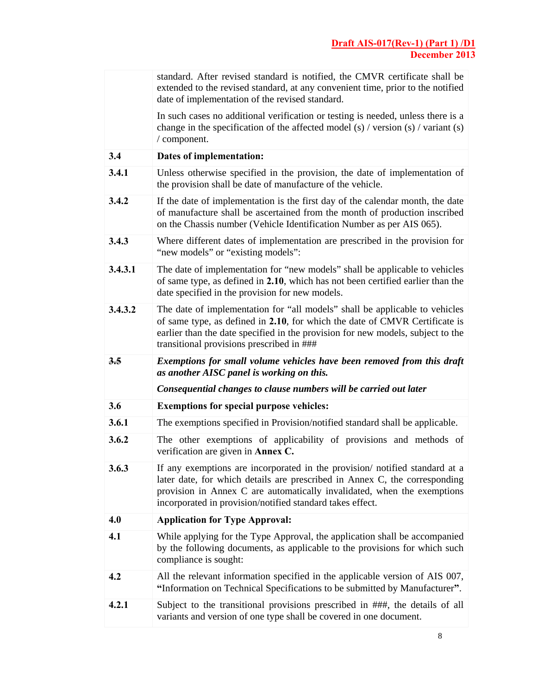|         | standard. After revised standard is notified, the CMVR certificate shall be<br>extended to the revised standard, at any convenient time, prior to the notified<br>date of implementation of the revised standard.                                                                                |  |  |
|---------|--------------------------------------------------------------------------------------------------------------------------------------------------------------------------------------------------------------------------------------------------------------------------------------------------|--|--|
|         | In such cases no additional verification or testing is needed, unless there is a<br>change in the specification of the affected model (s) / version (s) / variant (s)<br>/ component.                                                                                                            |  |  |
| 3.4     | Dates of implementation:                                                                                                                                                                                                                                                                         |  |  |
| 3.4.1   | Unless otherwise specified in the provision, the date of implementation of<br>the provision shall be date of manufacture of the vehicle.                                                                                                                                                         |  |  |
| 3.4.2   | If the date of implementation is the first day of the calendar month, the date<br>of manufacture shall be ascertained from the month of production inscribed<br>on the Chassis number (Vehicle Identification Number as per AIS 065).                                                            |  |  |
| 3.4.3   | Where different dates of implementation are prescribed in the provision for<br>"new models" or "existing models":                                                                                                                                                                                |  |  |
| 3.4.3.1 | The date of implementation for "new models" shall be applicable to vehicles<br>of same type, as defined in 2.10, which has not been certified earlier than the<br>date specified in the provision for new models.                                                                                |  |  |
| 3.4.3.2 | The date of implementation for "all models" shall be applicable to vehicles<br>of same type, as defined in 2.10, for which the date of CMVR Certificate is<br>earlier than the date specified in the provision for new models, subject to the<br>transitional provisions prescribed in ###       |  |  |
| 3.5     | Exemptions for small volume vehicles have been removed from this draft<br>as another AISC panel is working on this.                                                                                                                                                                              |  |  |
|         |                                                                                                                                                                                                                                                                                                  |  |  |
|         | Consequential changes to clause numbers will be carried out later                                                                                                                                                                                                                                |  |  |
| 3.6     | <b>Exemptions for special purpose vehicles:</b>                                                                                                                                                                                                                                                  |  |  |
| 3.6.1   | The exemptions specified in Provision/notified standard shall be applicable.                                                                                                                                                                                                                     |  |  |
| 3.6.2   | The other exemptions of applicability of provisions and methods of<br>verification are given in Annex C.                                                                                                                                                                                         |  |  |
| 3.6.3   | If any exemptions are incorporated in the provision notified standard at a<br>later date, for which details are prescribed in Annex C, the corresponding<br>provision in Annex C are automatically invalidated, when the exemptions<br>incorporated in provision/notified standard takes effect. |  |  |
| 4.0     | <b>Application for Type Approval:</b>                                                                                                                                                                                                                                                            |  |  |
| 4.1     | While applying for the Type Approval, the application shall be accompanied<br>by the following documents, as applicable to the provisions for which such<br>compliance is sought:                                                                                                                |  |  |
| 4.2     | All the relevant information specified in the applicable version of AIS 007,<br>"Information on Technical Specifications to be submitted by Manufacturer".                                                                                                                                       |  |  |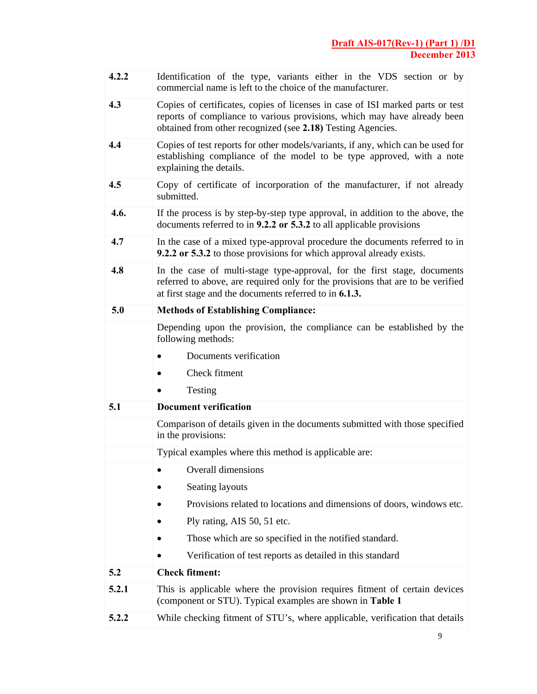| 4.2.2 | Identification of the type, variants either in the VDS section or by<br>commercial name is left to the choice of the manufacturer.                                                                                        |  |  |
|-------|---------------------------------------------------------------------------------------------------------------------------------------------------------------------------------------------------------------------------|--|--|
| 4.3   | Copies of certificates, copies of licenses in case of ISI marked parts or test<br>reports of compliance to various provisions, which may have already been<br>obtained from other recognized (see 2.18) Testing Agencies. |  |  |
| 4.4   | Copies of test reports for other models/variants, if any, which can be used for<br>establishing compliance of the model to be type approved, with a note<br>explaining the details.                                       |  |  |
| 4.5   | Copy of certificate of incorporation of the manufacturer, if not already<br>submitted.                                                                                                                                    |  |  |
| 4.6.  | If the process is by step-by-step type approval, in addition to the above, the<br>documents referred to in 9.2.2 or 5.3.2 to all applicable provisions                                                                    |  |  |
| 4.7   | In the case of a mixed type-approval procedure the documents referred to in<br>9.2.2 or 5.3.2 to those provisions for which approval already exists.                                                                      |  |  |
| 4.8   | In the case of multi-stage type-approval, for the first stage, documents<br>referred to above, are required only for the provisions that are to be verified<br>at first stage and the documents referred to in 6.1.3.     |  |  |
| 5.0   | <b>Methods of Establishing Compliance:</b>                                                                                                                                                                                |  |  |
|       | Depending upon the provision, the compliance can be established by the<br>following methods:                                                                                                                              |  |  |
|       | Documents verification                                                                                                                                                                                                    |  |  |
|       | Check fitment                                                                                                                                                                                                             |  |  |
|       | Testing                                                                                                                                                                                                                   |  |  |
| 5.1   | <b>Document verification</b>                                                                                                                                                                                              |  |  |
|       |                                                                                                                                                                                                                           |  |  |
|       | Comparison of details given in the documents submitted with those specified<br>in the provisions:                                                                                                                         |  |  |
|       | Typical examples where this method is applicable are:                                                                                                                                                                     |  |  |
|       | Overall dimensions                                                                                                                                                                                                        |  |  |
|       | Seating layouts                                                                                                                                                                                                           |  |  |
|       | Provisions related to locations and dimensions of doors, windows etc.                                                                                                                                                     |  |  |
|       | Ply rating, AIS 50, 51 etc.                                                                                                                                                                                               |  |  |
|       | Those which are so specified in the notified standard.                                                                                                                                                                    |  |  |
|       | Verification of test reports as detailed in this standard                                                                                                                                                                 |  |  |
| 5.2   | <b>Check fitment:</b>                                                                                                                                                                                                     |  |  |
| 5.2.1 | This is applicable where the provision requires fitment of certain devices<br>(component or STU). Typical examples are shown in Table 1                                                                                   |  |  |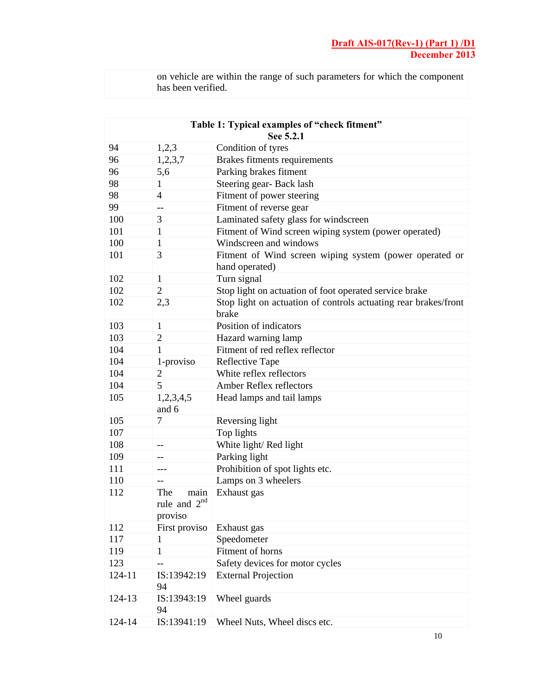| on vehicle are within the range of such parameters for which the component |
|----------------------------------------------------------------------------|
| has been verified.                                                         |

| Table 1: Typical examples of "check fitment"<br>See 5.2.1 |                                          |                                                                           |  |
|-----------------------------------------------------------|------------------------------------------|---------------------------------------------------------------------------|--|
| 94                                                        | 1,2,3                                    | Condition of tyres                                                        |  |
| 96                                                        | 1,2,3,7                                  | Brakes fitments requirements                                              |  |
| 96                                                        | 5,6                                      | Parking brakes fitment                                                    |  |
| 98                                                        | 1                                        | Steering gear-Back lash                                                   |  |
| 98                                                        | 4                                        | Fitment of power steering                                                 |  |
| 99                                                        | $\overline{\phantom{a}}$                 | Fitment of reverse gear                                                   |  |
| 100                                                       | 3                                        | Laminated safety glass for windscreen                                     |  |
| 101                                                       | 1                                        | Fitment of Wind screen wiping system (power operated)                     |  |
| 100                                                       | 1                                        | Windscreen and windows                                                    |  |
| 101                                                       | 3                                        | Fitment of Wind screen wiping system (power operated or<br>hand operated) |  |
| 102                                                       | 1                                        | Turn signal                                                               |  |
| 102                                                       | $\overline{2}$                           | Stop light on actuation of foot operated service brake                    |  |
| 102                                                       | 2,3                                      | Stop light on actuation of controls actuating rear brakes/front<br>brake  |  |
| 103                                                       | 1                                        | Position of indicators                                                    |  |
| 103                                                       | $\overline{2}$                           | Hazard warning lamp                                                       |  |
| 104                                                       | 1                                        | Fitment of red reflex reflector                                           |  |
| 104                                                       | 1-proviso                                | Reflective Tape                                                           |  |
| 104                                                       | $\overline{2}$                           | White reflex reflectors                                                   |  |
| 104                                                       | 5                                        | Amber Reflex reflectors                                                   |  |
| 105                                                       | 1,2,3,4,5<br>and 6                       | Head lamps and tail lamps                                                 |  |
| 105                                                       | 7                                        | Reversing light                                                           |  |
| 107                                                       |                                          | Top lights                                                                |  |
| 108                                                       | $-$                                      | White light/Red light                                                     |  |
| 109                                                       | --                                       | Parking light                                                             |  |
| 111                                                       |                                          | Prohibition of spot lights etc.                                           |  |
| 110                                                       | $-$                                      | Lamps on 3 wheelers                                                       |  |
| 112                                                       | The<br>main<br>rule and $2nd$<br>proviso | Exhaust gas                                                               |  |
| 112                                                       | First proviso                            | Exhaust gas                                                               |  |
| 117                                                       | 1                                        | Speedometer                                                               |  |
| 119                                                       | 1                                        | Fitment of horns                                                          |  |
| 123                                                       |                                          | Safety devices for motor cycles                                           |  |
| 124-11                                                    | IS:13942:19<br>94                        | <b>External Projection</b>                                                |  |
| 124-13                                                    | IS:13943:19<br>94                        | Wheel guards                                                              |  |
| 124-14                                                    | IS:13941:19                              | Wheel Nuts, Wheel discs etc.                                              |  |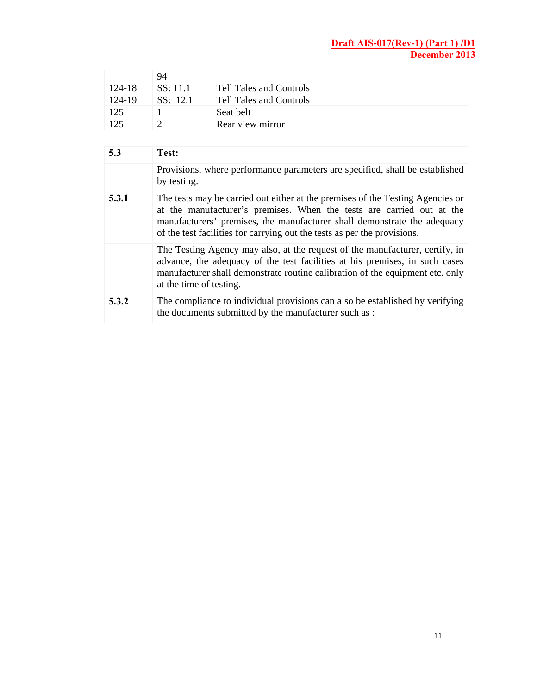|        | 94             |                         |
|--------|----------------|-------------------------|
| 124-18 | SS: 11.1       | Tell Tales and Controls |
| 124-19 | $SS \cdot 121$ | Tell Tales and Controls |
| 125    |                | Seat belt               |
| 125    |                | Rear view mirror        |

| 5.3   | Test:                                                                                                                                                                                                                                                                                                           |
|-------|-----------------------------------------------------------------------------------------------------------------------------------------------------------------------------------------------------------------------------------------------------------------------------------------------------------------|
|       | Provisions, where performance parameters are specified, shall be established<br>by testing.                                                                                                                                                                                                                     |
| 5.3.1 | The tests may be carried out either at the premises of the Testing Agencies or<br>at the manufacturer's premises. When the tests are carried out at the<br>manufacturers' premises, the manufacturer shall demonstrate the adequacy<br>of the test facilities for carrying out the tests as per the provisions. |
|       | The Testing Agency may also, at the request of the manufacturer, certify, in<br>advance, the adequacy of the test facilities at his premises, in such cases<br>manufacturer shall demonstrate routine calibration of the equipment etc. only<br>at the time of testing.                                         |
| 5.3.2 | The compliance to individual provisions can also be established by verifying<br>the documents submitted by the manufacturer such as :                                                                                                                                                                           |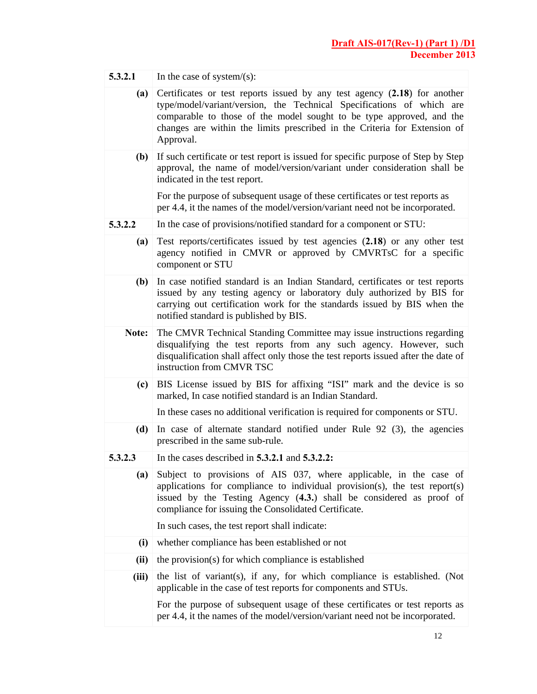| 5.3.2.1 | In the case of system/(s):                                                                                                                                                                                                                                                                                           |  |  |
|---------|----------------------------------------------------------------------------------------------------------------------------------------------------------------------------------------------------------------------------------------------------------------------------------------------------------------------|--|--|
| (a)     | Certificates or test reports issued by any test agency (2.18) for another<br>type/model/variant/version, the Technical Specifications of which are<br>comparable to those of the model sought to be type approved, and the<br>changes are within the limits prescribed in the Criteria for Extension of<br>Approval. |  |  |
| (b)     | If such certificate or test report is issued for specific purpose of Step by Step<br>approval, the name of model/version/variant under consideration shall be<br>indicated in the test report.                                                                                                                       |  |  |
|         | For the purpose of subsequent usage of these certificates or test reports as<br>per 4.4, it the names of the model/version/variant need not be incorporated.                                                                                                                                                         |  |  |
| 5.3.2.2 | In the case of provisions/notified standard for a component or STU:                                                                                                                                                                                                                                                  |  |  |
| (a)     | Test reports/certificates issued by test agencies (2.18) or any other test<br>agency notified in CMVR or approved by CMVRTsC for a specific<br>component or STU                                                                                                                                                      |  |  |
| (b)     | In case notified standard is an Indian Standard, certificates or test reports<br>issued by any testing agency or laboratory duly authorized by BIS for<br>carrying out certification work for the standards issued by BIS when the<br>notified standard is published by BIS.                                         |  |  |
| Note:   | The CMVR Technical Standing Committee may issue instructions regarding<br>disqualifying the test reports from any such agency. However, such<br>disqualification shall affect only those the test reports issued after the date of<br>instruction from CMVR TSC                                                      |  |  |
| (c)     | BIS License issued by BIS for affixing "ISI" mark and the device is so<br>marked, In case notified standard is an Indian Standard.                                                                                                                                                                                   |  |  |
|         | In these cases no additional verification is required for components or STU.                                                                                                                                                                                                                                         |  |  |
| (d)     | In case of alternate standard notified under Rule 92 (3), the agencies<br>prescribed in the same sub-rule.                                                                                                                                                                                                           |  |  |
| 5.3.2.3 | In the cases described in $5.3.2.1$ and $5.3.2.2$ :                                                                                                                                                                                                                                                                  |  |  |
| (a)     | Subject to provisions of AIS 037, where applicable, in the case of<br>applications for compliance to individual provision(s), the test report(s)<br>issued by the Testing Agency (4.3.) shall be considered as proof of<br>compliance for issuing the Consolidated Certificate.                                      |  |  |
|         | In such cases, the test report shall indicate:                                                                                                                                                                                                                                                                       |  |  |
| (i)     | whether compliance has been established or not                                                                                                                                                                                                                                                                       |  |  |
| (ii)    | the provision(s) for which compliance is established                                                                                                                                                                                                                                                                 |  |  |
| (iii)   | the list of variant(s), if any, for which compliance is established. (Not<br>applicable in the case of test reports for components and STUs.                                                                                                                                                                         |  |  |
|         | For the purpose of subsequent usage of these certificates or test reports as<br>per 4.4, it the names of the model/version/variant need not be incorporated.                                                                                                                                                         |  |  |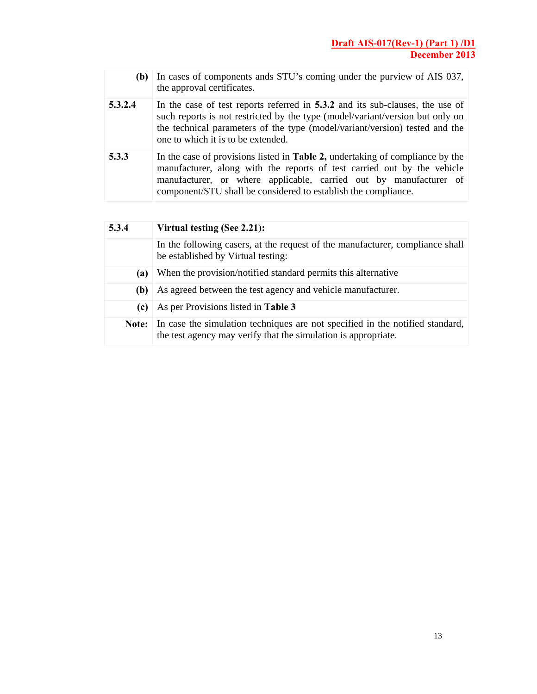| (b)     | In cases of components ands STU's coming under the purview of AIS 037,<br>the approval certificates.                                                                                                                                                                                                    |
|---------|---------------------------------------------------------------------------------------------------------------------------------------------------------------------------------------------------------------------------------------------------------------------------------------------------------|
| 5.3.2.4 | In the case of test reports referred in 5.3.2 and its sub-clauses, the use of<br>such reports is not restricted by the type (model/variant/version but only on<br>the technical parameters of the type (model/variant/version) tested and the<br>one to which it is to be extended.                     |
| 5.3.3   | In the case of provisions listed in <b>Table 2</b> , undertaking of compliance by the<br>manufacturer, along with the reports of test carried out by the vehicle<br>manufacturer, or where applicable, carried out by manufacturer of<br>component/STU shall be considered to establish the compliance. |

| 5.3.4 | Virtual testing (See 2.21):                                                                                                                     |  |
|-------|-------------------------------------------------------------------------------------------------------------------------------------------------|--|
|       | In the following casers, at the request of the manufacturer, compliance shall<br>be established by Virtual testing:                             |  |
| (a)   | When the provision/notified standard permits this alternative                                                                                   |  |
| (b)   | As agreed between the test agency and vehicle manufacturer.                                                                                     |  |
| (c)   | As per Provisions listed in Table 3                                                                                                             |  |
| Note: | In case the simulation techniques are not specified in the notified standard,<br>the test agency may verify that the simulation is appropriate. |  |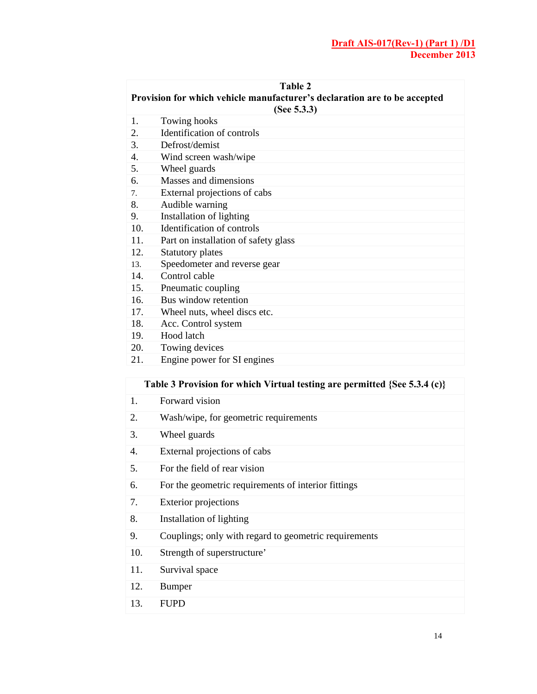| Table 2                                                                   |                                      |  |  |
|---------------------------------------------------------------------------|--------------------------------------|--|--|
| Provision for which vehicle manufacturer's declaration are to be accepted |                                      |  |  |
|                                                                           | (See $5.3.3$ )                       |  |  |
| 1.                                                                        | Towing hooks                         |  |  |
| 2.                                                                        | Identification of controls           |  |  |
| 3.                                                                        | Defrost/demist                       |  |  |
| 4.                                                                        | Wind screen wash/wipe                |  |  |
| 5.                                                                        | Wheel guards                         |  |  |
| 6.                                                                        | Masses and dimensions                |  |  |
| 7.                                                                        | External projections of cabs         |  |  |
| 8.                                                                        | Audible warning                      |  |  |
| 9.                                                                        | Installation of lighting             |  |  |
| 10.                                                                       | Identification of controls           |  |  |
| 11.                                                                       | Part on installation of safety glass |  |  |
| 12.                                                                       | Statutory plates                     |  |  |
| 13.                                                                       | Speedometer and reverse gear         |  |  |
| 14.                                                                       | Control cable                        |  |  |
| 15.                                                                       | Pneumatic coupling                   |  |  |
| 16.                                                                       | Bus window retention                 |  |  |
| 17.                                                                       | Wheel nuts, wheel discs etc.         |  |  |
| 18.                                                                       | Acc. Control system                  |  |  |
| 19.                                                                       | Hood latch                           |  |  |
| 20.                                                                       | Towing devices                       |  |  |
| 21.                                                                       | Engine power for SI engines          |  |  |

## **Table 3 Provision for which Virtual testing are permitted {See 5.3.4 (c)}**

- 1. Forward vision
- 2. Wash/wipe, for geometric requirements
- 3. Wheel guards
- 4. External projections of cabs
- 5. For the field of rear vision
- 6. For the geometric requirements of interior fittings
- 7. Exterior projections
- 8. Installation of lighting
- 9. Couplings; only with regard to geometric requirements
- 10. Strength of superstructure'
- 11. Survival space
- 12. Bumper
- 13. FUPD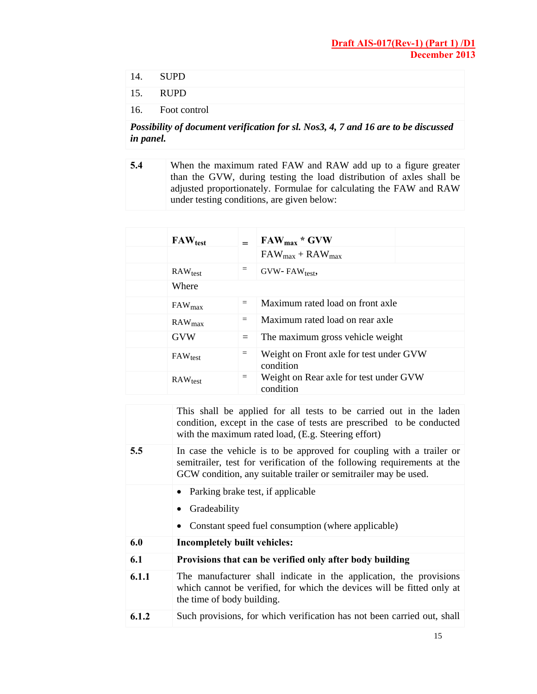- 14. SUPD
- 15. RUPD
- 16. Foot control

## *Possibility of document verification for sl. Nos3, 4, 7 and 16 are to be discussed in panel.*

**5.4** •• When the maximum rated FAW and RAW add up to a figure greater than the GVW, during testing the load distribution of axles shall be adjusted proportionately. Formulae for calculating the FAW and RAW under testing conditions, are given below:

| $FAW_{test}$ |     | $FAW_{max} * GVW$                                    |  |
|--------------|-----|------------------------------------------------------|--|
|              |     | $FAW_{max} + RAW_{max}$                              |  |
| $RAW_{test}$ | $=$ | $GVW - FAW_{test}$                                   |  |
| Where        |     |                                                      |  |
| $FAW_{max}$  | $=$ | Maximum rated load on front axle                     |  |
| $RAW_{max}$  | $=$ | Maximum rated load on rear axle                      |  |
| <b>GVW</b>   | $=$ | The maximum gross vehicle weight                     |  |
| $FAW_{test}$ | $=$ | Weight on Front axle for test under GVW<br>condition |  |
| $RAW_{test}$ | $=$ | Weight on Rear axle for test under GVW<br>condition  |  |

|       | This shall be applied for all tests to be carried out in the laden<br>condition, except in the case of tests are prescribed to be conducted<br>with the maximum rated load, (E.g. Steering effort)                 |
|-------|--------------------------------------------------------------------------------------------------------------------------------------------------------------------------------------------------------------------|
| 5.5   | In case the vehicle is to be approved for coupling with a trailer or<br>semitrailer, test for verification of the following requirements at the<br>GCW condition, any suitable trailer or semitrailer may be used. |
|       | • Parking brake test, if applicable<br>• Gradeability<br>Constant speed fuel consumption (where applicable)                                                                                                        |
| 6.0   |                                                                                                                                                                                                                    |
|       | Incompletely built vehicles:                                                                                                                                                                                       |
| 6.1   | Provisions that can be verified only after body building                                                                                                                                                           |
| 6.1.1 | The manufacturer shall indicate in the application, the provisions<br>which cannot be verified, for which the devices will be fitted only at<br>the time of body building.                                         |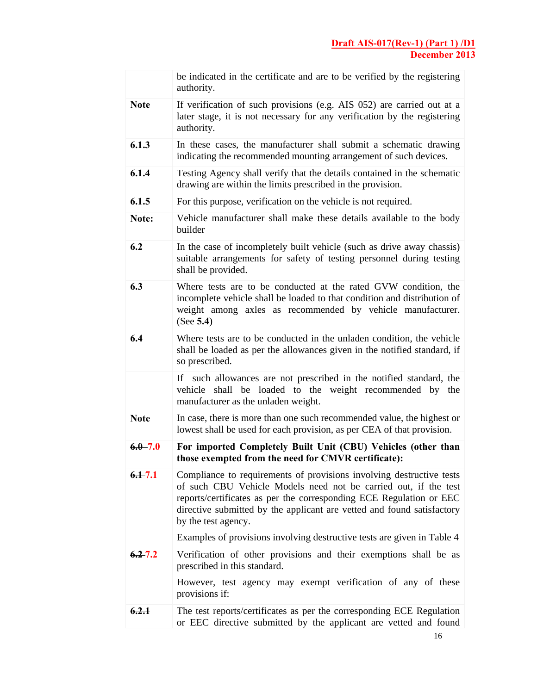|             | be indicated in the certificate and are to be verified by the registering<br>authority.                                                                                                                                                                                                                         |
|-------------|-----------------------------------------------------------------------------------------------------------------------------------------------------------------------------------------------------------------------------------------------------------------------------------------------------------------|
| <b>Note</b> | If verification of such provisions (e.g. AIS 052) are carried out at a<br>later stage, it is not necessary for any verification by the registering<br>authority.                                                                                                                                                |
| 6.1.3       | In these cases, the manufacturer shall submit a schematic drawing<br>indicating the recommended mounting arrangement of such devices.                                                                                                                                                                           |
| 6.1.4       | Testing Agency shall verify that the details contained in the schematic<br>drawing are within the limits prescribed in the provision.                                                                                                                                                                           |
| 6.1.5       | For this purpose, verification on the vehicle is not required.                                                                                                                                                                                                                                                  |
| Note:       | Vehicle manufacturer shall make these details available to the body<br>builder                                                                                                                                                                                                                                  |
| 6.2         | In the case of incompletely built vehicle (such as drive away chassis)<br>suitable arrangements for safety of testing personnel during testing<br>shall be provided.                                                                                                                                            |
| 6.3         | Where tests are to be conducted at the rated GVW condition, the<br>incomplete vehicle shall be loaded to that condition and distribution of<br>weight among axles as recommended by vehicle manufacturer.<br>(See 5.4)                                                                                          |
| 6.4         | Where tests are to be conducted in the unladen condition, the vehicle<br>shall be loaded as per the allowances given in the notified standard, if<br>so prescribed.                                                                                                                                             |
|             | such allowances are not prescribed in the notified standard, the<br>If -<br>shall be loaded to the weight recommended by the<br>vehicle<br>manufacturer as the unladen weight.                                                                                                                                  |
| <b>Note</b> | In case, there is more than one such recommended value, the highest or<br>lowest shall be used for each provision, as per CEA of that provision.                                                                                                                                                                |
| $6.0 - 7.0$ | For imported Completely Built Unit (CBU) Vehicles (other than<br>those exempted from the need for CMVR certificate):                                                                                                                                                                                            |
| $6.1 - 7.1$ | Compliance to requirements of provisions involving destructive tests<br>of such CBU Vehicle Models need not be carried out, if the test<br>reports/certificates as per the corresponding ECE Regulation or EEC<br>directive submitted by the applicant are vetted and found satisfactory<br>by the test agency. |
|             | Examples of provisions involving destructive tests are given in Table 4                                                                                                                                                                                                                                         |
| $6.2 - 7.2$ | Verification of other provisions and their exemptions shall be as<br>prescribed in this standard.                                                                                                                                                                                                               |
|             | However, test agency may exempt verification of any of these<br>provisions if:                                                                                                                                                                                                                                  |
| 6.2.1       | The test reports/certificates as per the corresponding ECE Regulation<br>or EEC directive submitted by the applicant are vetted and found                                                                                                                                                                       |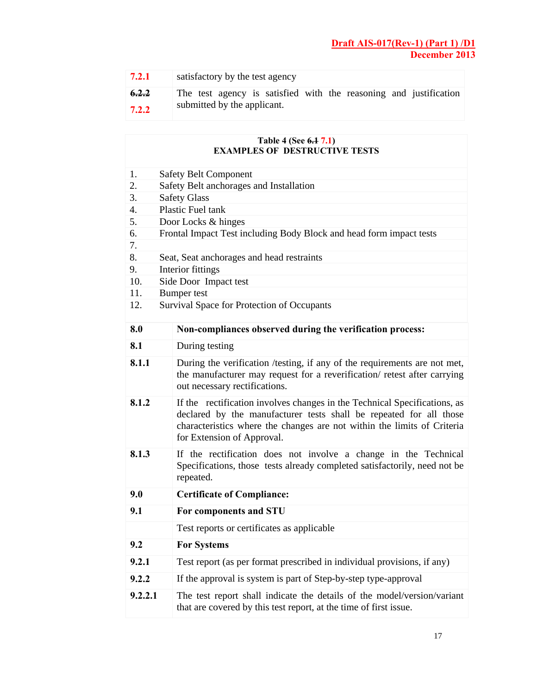| 17.2.1 | satisfactory by the test agency                                   |
|--------|-------------------------------------------------------------------|
| 6.2.2  | The test agency is satisfied with the reasoning and justification |
| 7.2.2  | submitted by the applicant.                                       |

|         | Table 4 (See 6.1 7.1)<br><b>EXAMPLES OF DESTRUCTIVE TESTS</b>                                                                                                                                                                                            |  |  |  |
|---------|----------------------------------------------------------------------------------------------------------------------------------------------------------------------------------------------------------------------------------------------------------|--|--|--|
| 1.      | <b>Safety Belt Component</b>                                                                                                                                                                                                                             |  |  |  |
| 2.      | Safety Belt anchorages and Installation                                                                                                                                                                                                                  |  |  |  |
| 3.      | <b>Safety Glass</b>                                                                                                                                                                                                                                      |  |  |  |
| 4.      | Plastic Fuel tank                                                                                                                                                                                                                                        |  |  |  |
| 5.      | Door Locks & hinges                                                                                                                                                                                                                                      |  |  |  |
| 6.      | Frontal Impact Test including Body Block and head form impact tests                                                                                                                                                                                      |  |  |  |
| 7.      |                                                                                                                                                                                                                                                          |  |  |  |
| 8.      | Seat, Seat anchorages and head restraints                                                                                                                                                                                                                |  |  |  |
| 9.      | Interior fittings                                                                                                                                                                                                                                        |  |  |  |
| 10.     | Side Door Impact test                                                                                                                                                                                                                                    |  |  |  |
| 11.     | <b>Bumper</b> test                                                                                                                                                                                                                                       |  |  |  |
| 12.     | Survival Space for Protection of Occupants                                                                                                                                                                                                               |  |  |  |
| 8.0     | Non-compliances observed during the verification process:                                                                                                                                                                                                |  |  |  |
| 8.1     | During testing                                                                                                                                                                                                                                           |  |  |  |
| 8.1.1   | During the verification /testing, if any of the requirements are not met,<br>the manufacturer may request for a reverification/ retest after carrying<br>out necessary rectifications.                                                                   |  |  |  |
| 8.1.2   | If the rectification involves changes in the Technical Specifications, as<br>declared by the manufacturer tests shall be repeated for all those<br>characteristics where the changes are not within the limits of Criteria<br>for Extension of Approval. |  |  |  |
| 8.1.3   | If the rectification does not involve a change in the Technical<br>Specifications, those tests already completed satisfactorily, need not be<br>repeated.                                                                                                |  |  |  |
| 9.0     | <b>Certificate of Compliance:</b>                                                                                                                                                                                                                        |  |  |  |
| 9.1     | For components and STU                                                                                                                                                                                                                                   |  |  |  |
|         | Test reports or certificates as applicable                                                                                                                                                                                                               |  |  |  |
| 9.2     | <b>For Systems</b>                                                                                                                                                                                                                                       |  |  |  |
| 9.2.1   | Test report (as per format prescribed in individual provisions, if any)                                                                                                                                                                                  |  |  |  |
| 9.2.2   | If the approval is system is part of Step-by-step type-approval                                                                                                                                                                                          |  |  |  |
| 9.2.2.1 | The test report shall indicate the details of the model/version/variant<br>that are covered by this test report, at the time of first issue.                                                                                                             |  |  |  |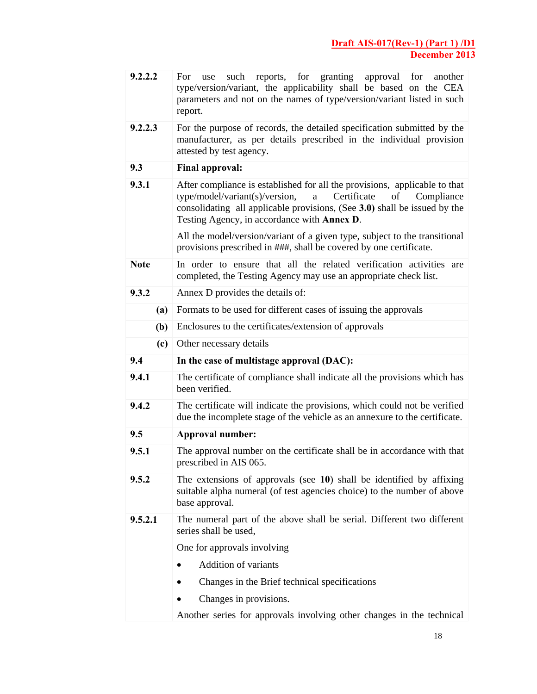| 9.2.2.2     | such reports, for granting<br>approval<br>for<br>another<br>For.<br>use<br>type/version/variant, the applicability shall be based on the CEA<br>parameters and not on the names of type/version/variant listed in such<br>report.                                                |  |  |
|-------------|----------------------------------------------------------------------------------------------------------------------------------------------------------------------------------------------------------------------------------------------------------------------------------|--|--|
| 9.2.2.3     | For the purpose of records, the detailed specification submitted by the<br>manufacturer, as per details prescribed in the individual provision<br>attested by test agency.                                                                                                       |  |  |
| 9.3         | <b>Final approval:</b>                                                                                                                                                                                                                                                           |  |  |
| 9.3.1       | After compliance is established for all the provisions, applicable to that<br>Certificate<br>type/model/variant(s)/version,<br>of<br>Compliance<br>a<br>consolidating all applicable provisions, (See 3.0) shall be issued by the<br>Testing Agency, in accordance with Annex D. |  |  |
|             | All the model/version/variant of a given type, subject to the transitional<br>provisions prescribed in ###, shall be covered by one certificate.                                                                                                                                 |  |  |
| <b>Note</b> | In order to ensure that all the related verification activities are<br>completed, the Testing Agency may use an appropriate check list.                                                                                                                                          |  |  |
| 9.3.2       | Annex D provides the details of:                                                                                                                                                                                                                                                 |  |  |
| (a)         | Formats to be used for different cases of issuing the approvals                                                                                                                                                                                                                  |  |  |
| (b)         | Enclosures to the certificates/extension of approvals                                                                                                                                                                                                                            |  |  |
| (c)         | Other necessary details                                                                                                                                                                                                                                                          |  |  |
| 9.4         | In the case of multistage approval (DAC):                                                                                                                                                                                                                                        |  |  |
| 9.4.1       | The certificate of compliance shall indicate all the provisions which has<br>been verified.                                                                                                                                                                                      |  |  |
| 9.4.2       | The certificate will indicate the provisions, which could not be verified<br>due the incomplete stage of the vehicle as an annexure to the certificate.                                                                                                                          |  |  |
| 9.5         | <b>Approval number:</b>                                                                                                                                                                                                                                                          |  |  |
| 9.5.1       | The approval number on the certificate shall be in accordance with that<br>prescribed in AIS 065.                                                                                                                                                                                |  |  |
| 9.5.2       | The extensions of approvals (see $10$ ) shall be identified by affixing<br>suitable alpha numeral (of test agencies choice) to the number of above<br>base approval.                                                                                                             |  |  |
| 9.5.2.1     | The numeral part of the above shall be serial. Different two different<br>series shall be used,                                                                                                                                                                                  |  |  |
|             | One for approvals involving                                                                                                                                                                                                                                                      |  |  |
|             | <b>Addition of variants</b>                                                                                                                                                                                                                                                      |  |  |
|             | Changes in the Brief technical specifications                                                                                                                                                                                                                                    |  |  |
|             | Changes in provisions.                                                                                                                                                                                                                                                           |  |  |

Another series for approvals involving other changes in the technical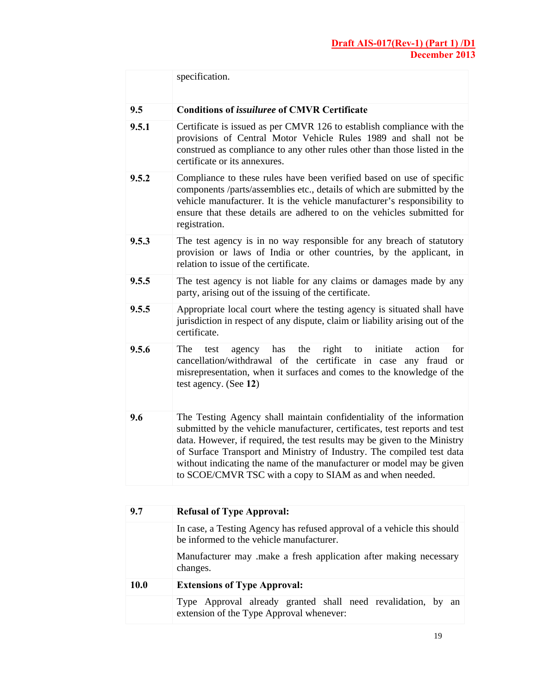|       | specification.                                                                                                                                                                                                                                                                                                                                                                                                                                |
|-------|-----------------------------------------------------------------------------------------------------------------------------------------------------------------------------------------------------------------------------------------------------------------------------------------------------------------------------------------------------------------------------------------------------------------------------------------------|
| 9.5   | <b>Conditions of <i>issuiluree</i></b> of CMVR Certificate                                                                                                                                                                                                                                                                                                                                                                                    |
| 9.5.1 | Certificate is issued as per CMVR 126 to establish compliance with the<br>provisions of Central Motor Vehicle Rules 1989 and shall not be<br>construed as compliance to any other rules other than those listed in the<br>certificate or its annexures.                                                                                                                                                                                       |
| 9.5.2 | Compliance to these rules have been verified based on use of specific<br>components /parts/assemblies etc., details of which are submitted by the<br>vehicle manufacturer. It is the vehicle manufacturer's responsibility to<br>ensure that these details are adhered to on the vehicles submitted for<br>registration.                                                                                                                      |
| 9.5.3 | The test agency is in no way responsible for any breach of statutory<br>provision or laws of India or other countries, by the applicant, in<br>relation to issue of the certificate.                                                                                                                                                                                                                                                          |
| 9.5.5 | The test agency is not liable for any claims or damages made by any<br>party, arising out of the issuing of the certificate.                                                                                                                                                                                                                                                                                                                  |
| 9.5.5 | Appropriate local court where the testing agency is situated shall have<br>jurisdiction in respect of any dispute, claim or liability arising out of the<br>certificate.                                                                                                                                                                                                                                                                      |
| 9.5.6 | for<br>The<br>agency<br>has<br>the<br>right<br>initiate<br>action<br>test<br>to<br>cancellation/withdrawal of the certificate in case any fraud or<br>misrepresentation, when it surfaces and comes to the knowledge of the<br>test agency. (See 12)                                                                                                                                                                                          |
| 9.6   | The Testing Agency shall maintain confidentiality of the information<br>submitted by the vehicle manufacturer, certificates, test reports and test<br>data. However, if required, the test results may be given to the Ministry<br>of Surface Transport and Ministry of Industry. The compiled test data<br>without indicating the name of the manufacturer or model may be given<br>to SCOE/CMVR TSC with a copy to SIAM as and when needed. |
| 9.7   | Refusal of Type Approval:                                                                                                                                                                                                                                                                                                                                                                                                                     |

| 9.7  | <b>Refusal of Type Approval:</b>                                                                                    |  |  |  |  |
|------|---------------------------------------------------------------------------------------------------------------------|--|--|--|--|
|      | In case, a Testing Agency has refused approval of a vehicle this should<br>be informed to the vehicle manufacturer. |  |  |  |  |
|      | Manufacturer may make a fresh application after making necessary<br>changes.                                        |  |  |  |  |
| 10.0 | <b>Extensions of Type Approval:</b>                                                                                 |  |  |  |  |
|      | Type Approval already granted shall need revalidation, by an<br>extension of the Type Approval whenever:            |  |  |  |  |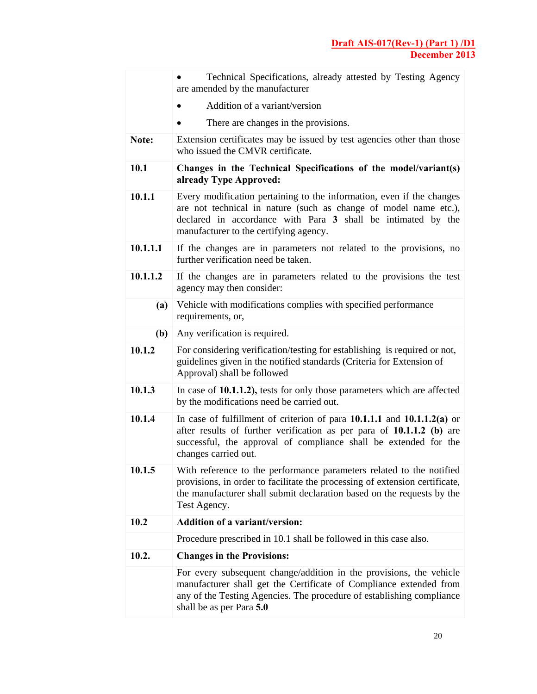|          | Technical Specifications, already attested by Testing Agency<br>are amended by the manufacturer                                                                                                                                                     |  |  |  |  |  |
|----------|-----------------------------------------------------------------------------------------------------------------------------------------------------------------------------------------------------------------------------------------------------|--|--|--|--|--|
|          | Addition of a variant/version                                                                                                                                                                                                                       |  |  |  |  |  |
|          | There are changes in the provisions.                                                                                                                                                                                                                |  |  |  |  |  |
| Note:    | Extension certificates may be issued by test agencies other than those<br>who issued the CMVR certificate.                                                                                                                                          |  |  |  |  |  |
| 10.1     | Changes in the Technical Specifications of the model/variant(s)<br>already Type Approved:                                                                                                                                                           |  |  |  |  |  |
| 10.1.1   | Every modification pertaining to the information, even if the changes<br>are not technical in nature (such as change of model name etc.),<br>declared in accordance with Para 3 shall be intimated by the<br>manufacturer to the certifying agency. |  |  |  |  |  |
| 10.1.1.1 | If the changes are in parameters not related to the provisions, no<br>further verification need be taken.                                                                                                                                           |  |  |  |  |  |
| 10.1.1.2 | If the changes are in parameters related to the provisions the test<br>agency may then consider:                                                                                                                                                    |  |  |  |  |  |
| (a)      | Vehicle with modifications complies with specified performance<br>requirements, or,                                                                                                                                                                 |  |  |  |  |  |
| (b)      | Any verification is required.                                                                                                                                                                                                                       |  |  |  |  |  |
| 10.1.2   | For considering verification/testing for establishing is required or not,<br>guidelines given in the notified standards (Criteria for Extension of<br>Approval) shall be followed                                                                   |  |  |  |  |  |
| 10.1.3   | In case of 10.1.1.2), tests for only those parameters which are affected<br>by the modifications need be carried out.                                                                                                                               |  |  |  |  |  |
| 10.1.4   | In case of fulfillment of criterion of para $10.1.1.1$ and $10.1.1.2(a)$ or<br>after results of further verification as per para of $10.1.1.2$ (b) are<br>successful, the approval of compliance shall be extended for the<br>changes carried out.  |  |  |  |  |  |
| 10.1.5   | With reference to the performance parameters related to the notified<br>provisions, in order to facilitate the processing of extension certificate,<br>the manufacturer shall submit declaration based on the requests by the<br>Test Agency.       |  |  |  |  |  |
| 10.2     | <b>Addition of a variant/version:</b>                                                                                                                                                                                                               |  |  |  |  |  |
|          | Procedure prescribed in 10.1 shall be followed in this case also.                                                                                                                                                                                   |  |  |  |  |  |
| 10.2.    | <b>Changes in the Provisions:</b>                                                                                                                                                                                                                   |  |  |  |  |  |
|          | For every subsequent change/addition in the provisions, the vehicle<br>manufacturer shall get the Certificate of Compliance extended from<br>any of the Testing Agencies. The procedure of establishing compliance<br>shall be as per Para 5.0      |  |  |  |  |  |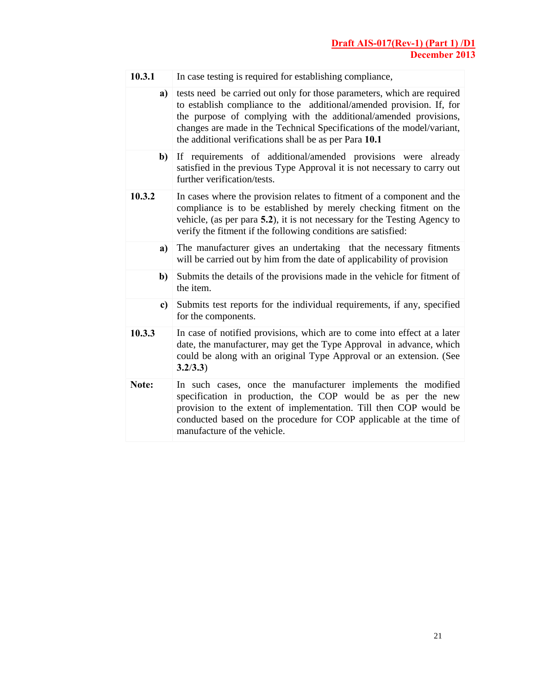| 10.3.1 | In case testing is required for establishing compliance,                                                                                                                                                                                                                                                                                                |
|--------|---------------------------------------------------------------------------------------------------------------------------------------------------------------------------------------------------------------------------------------------------------------------------------------------------------------------------------------------------------|
| a)     | tests need be carried out only for those parameters, which are required<br>to establish compliance to the additional/amended provision. If, for<br>the purpose of complying with the additional/amended provisions,<br>changes are made in the Technical Specifications of the model/variant,<br>the additional verifications shall be as per Para 10.1 |
| $b$    | If requirements of additional/amended provisions were already<br>satisfied in the previous Type Approval it is not necessary to carry out<br>further verification/tests.                                                                                                                                                                                |
| 10.3.2 | In cases where the provision relates to fitment of a component and the<br>compliance is to be established by merely checking fitment on the<br>vehicle, (as per para 5.2), it is not necessary for the Testing Agency to<br>verify the fitment if the following conditions are satisfied:                                                               |
| a)     | The manufacturer gives an undertaking that the necessary fitments<br>will be carried out by him from the date of applicability of provision                                                                                                                                                                                                             |
| b)     | Submits the details of the provisions made in the vehicle for fitment of<br>the item.                                                                                                                                                                                                                                                                   |
| c)     | Submits test reports for the individual requirements, if any, specified<br>for the components.                                                                                                                                                                                                                                                          |
| 10.3.3 | In case of notified provisions, which are to come into effect at a later<br>date, the manufacturer, may get the Type Approval in advance, which<br>could be along with an original Type Approval or an extension. (See<br>3.2/3.3)                                                                                                                      |
| Note:  | In such cases, once the manufacturer implements the modified<br>specification in production, the COP would be as per the new<br>provision to the extent of implementation. Till then COP would be<br>conducted based on the procedure for COP applicable at the time of<br>manufacture of the vehicle.                                                  |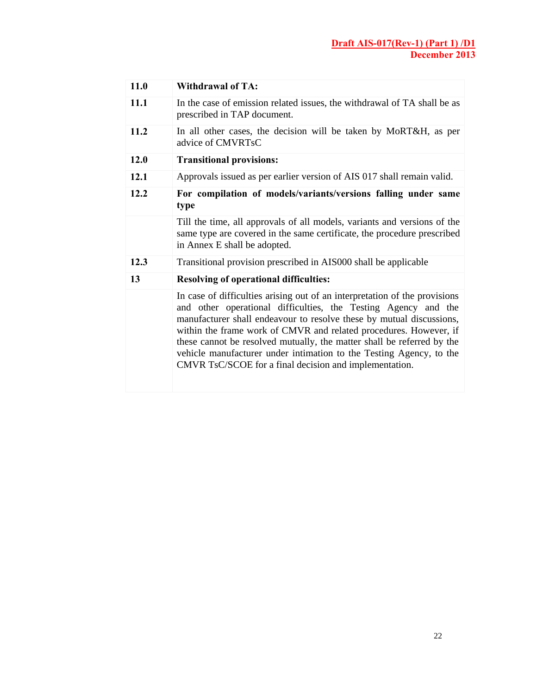| 11.0 | <b>Withdrawal of TA:</b>                                                                                                                                                                                                                                                                                                                                                                                                                                                                             |
|------|------------------------------------------------------------------------------------------------------------------------------------------------------------------------------------------------------------------------------------------------------------------------------------------------------------------------------------------------------------------------------------------------------------------------------------------------------------------------------------------------------|
| 11.1 | In the case of emission related issues, the withdrawal of TA shall be as<br>prescribed in TAP document.                                                                                                                                                                                                                                                                                                                                                                                              |
| 11.2 | In all other cases, the decision will be taken by MoRT&H, as per<br>advice of CMVRTsC                                                                                                                                                                                                                                                                                                                                                                                                                |
| 12.0 | <b>Transitional provisions:</b>                                                                                                                                                                                                                                                                                                                                                                                                                                                                      |
| 12.1 | Approvals issued as per earlier version of AIS 017 shall remain valid.                                                                                                                                                                                                                                                                                                                                                                                                                               |
| 12.2 | For compilation of models/variants/versions falling under same<br>type                                                                                                                                                                                                                                                                                                                                                                                                                               |
|      | Till the time, all approvals of all models, variants and versions of the<br>same type are covered in the same certificate, the procedure prescribed<br>in Annex E shall be adopted.                                                                                                                                                                                                                                                                                                                  |
| 12.3 | Transitional provision prescribed in AIS000 shall be applicable                                                                                                                                                                                                                                                                                                                                                                                                                                      |
| 13   | <b>Resolving of operational difficulties:</b>                                                                                                                                                                                                                                                                                                                                                                                                                                                        |
|      | In case of difficulties arising out of an interpretation of the provisions<br>and other operational difficulties, the Testing Agency and the<br>manufacturer shall endeavour to resolve these by mutual discussions,<br>within the frame work of CMVR and related procedures. However, if<br>these cannot be resolved mutually, the matter shall be referred by the<br>vehicle manufacturer under intimation to the Testing Agency, to the<br>CMVR TsC/SCOE for a final decision and implementation. |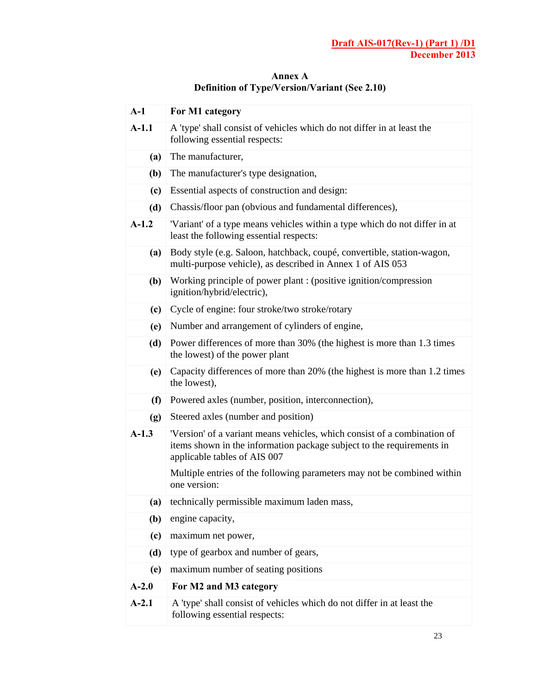| $A-1$   | For M1 category                                                                                                                                                                   |  |  |  |
|---------|-----------------------------------------------------------------------------------------------------------------------------------------------------------------------------------|--|--|--|
| $A-1.1$ | A 'type' shall consist of vehicles which do not differ in at least the<br>following essential respects:                                                                           |  |  |  |
| (a)     | The manufacturer,                                                                                                                                                                 |  |  |  |
| (b)     | The manufacturer's type designation,                                                                                                                                              |  |  |  |
| (c)     | Essential aspects of construction and design:                                                                                                                                     |  |  |  |
| (d)     | Chassis/floor pan (obvious and fundamental differences),                                                                                                                          |  |  |  |
| $A-1.2$ | 'Variant' of a type means vehicles within a type which do not differ in at<br>least the following essential respects:                                                             |  |  |  |
| (a)     | Body style (e.g. Saloon, hatchback, coupé, convertible, station-wagon,<br>multi-purpose vehicle), as described in Annex 1 of AIS 053                                              |  |  |  |
| (b)     | Working principle of power plant: (positive ignition/compression<br>ignition/hybrid/electric),                                                                                    |  |  |  |
| (c)     | Cycle of engine: four stroke/two stroke/rotary                                                                                                                                    |  |  |  |
| (e)     | Number and arrangement of cylinders of engine,                                                                                                                                    |  |  |  |
| (d)     | Power differences of more than 30% (the highest is more than 1.3 times<br>the lowest) of the power plant                                                                          |  |  |  |
| (e)     | Capacity differences of more than 20% (the highest is more than 1.2 times<br>the lowest),                                                                                         |  |  |  |
| (f)     | Powered axles (number, position, interconnection),                                                                                                                                |  |  |  |
| (g)     | Steered axles (number and position)                                                                                                                                               |  |  |  |
| $A-1.3$ | 'Version' of a variant means vehicles, which consist of a combination of<br>items shown in the information package subject to the requirements in<br>applicable tables of AIS 007 |  |  |  |
|         | Multiple entries of the following parameters may not be combined within<br>one version:                                                                                           |  |  |  |
| (a)     | technically permissible maximum laden mass,                                                                                                                                       |  |  |  |
| (b)     | engine capacity,                                                                                                                                                                  |  |  |  |
| (c)     | maximum net power,                                                                                                                                                                |  |  |  |
| (d)     | type of gearbox and number of gears,                                                                                                                                              |  |  |  |
| (e)     | maximum number of seating positions                                                                                                                                               |  |  |  |
| $A-2.0$ | For M2 and M3 category                                                                                                                                                            |  |  |  |
| $A-2.1$ | A 'type' shall consist of vehicles which do not differ in at least the<br>following essential respects:                                                                           |  |  |  |

**Annex A Definition of Type/Version/Variant (See 2.10)**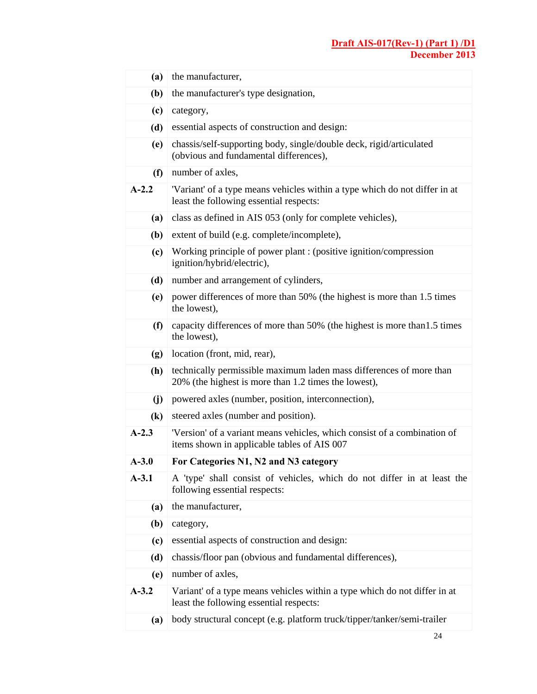| (a)                        | the manufacturer,                                                                                                           |  |  |  |
|----------------------------|-----------------------------------------------------------------------------------------------------------------------------|--|--|--|
| (b)                        | the manufacturer's type designation,                                                                                        |  |  |  |
| (c)                        | category,                                                                                                                   |  |  |  |
| (d)                        | essential aspects of construction and design:                                                                               |  |  |  |
| (e)                        | chassis/self-supporting body, single/double deck, rigid/articulated<br>(obvious and fundamental differences),               |  |  |  |
| (f)                        | number of axles,                                                                                                            |  |  |  |
| $A-2.2$                    | 'Variant' of a type means vehicles within a type which do not differ in at<br>least the following essential respects:       |  |  |  |
| (a)                        | class as defined in AIS 053 (only for complete vehicles),                                                                   |  |  |  |
| (b)                        | extent of build (e.g. complete/incomplete),                                                                                 |  |  |  |
| (c)                        | Working principle of power plant : (positive ignition/compression<br>ignition/hybrid/electric),                             |  |  |  |
| (d)                        | number and arrangement of cylinders,                                                                                        |  |  |  |
| (e)                        | power differences of more than 50% (the highest is more than 1.5 times<br>the lowest),                                      |  |  |  |
| (f)                        | capacity differences of more than 50% (the highest is more than 1.5 times<br>the lowest),                                   |  |  |  |
| (g)                        | location (front, mid, rear),                                                                                                |  |  |  |
| (h)                        | technically permissible maximum laden mass differences of more than<br>20% (the highest is more than 1.2 times the lowest), |  |  |  |
| (j)                        | powered axles (number, position, interconnection),                                                                          |  |  |  |
| $\left( \mathbf{k}\right)$ | steered axles (number and position).                                                                                        |  |  |  |
| $A-2.3$                    | 'Version' of a variant means vehicles, which consist of a combination of<br>items shown in applicable tables of AIS 007     |  |  |  |
| $A-3.0$                    | For Categories N1, N2 and N3 category                                                                                       |  |  |  |
| $A-3.1$                    | A 'type' shall consist of vehicles, which do not differ in at least the<br>following essential respects:                    |  |  |  |
| (a)                        | the manufacturer,                                                                                                           |  |  |  |
| (b)                        | category,                                                                                                                   |  |  |  |
| (c)                        | essential aspects of construction and design:                                                                               |  |  |  |
| (d)                        | chassis/floor pan (obvious and fundamental differences),                                                                    |  |  |  |
| (e)                        | number of axles,                                                                                                            |  |  |  |
| $A-3.2$                    | Variant' of a type means vehicles within a type which do not differ in at<br>least the following essential respects:        |  |  |  |
| (a)                        | body structural concept (e.g. platform truck/tipper/tanker/semi-trailer                                                     |  |  |  |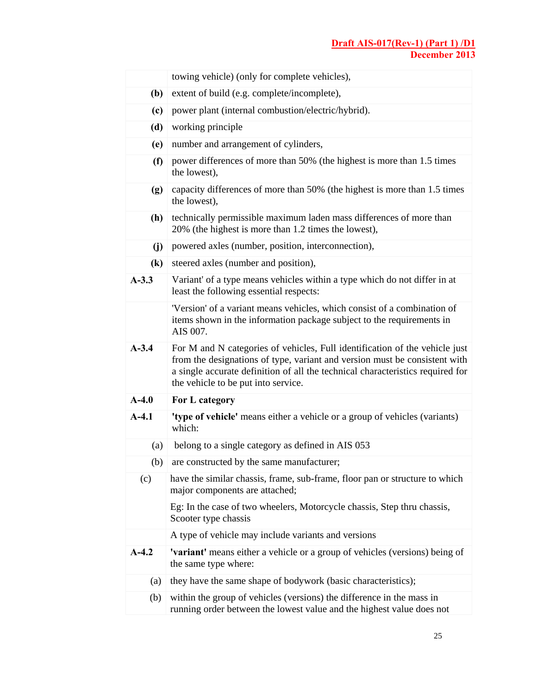|                            | towing vehicle) (only for complete vehicles),                                                                                                                                                                                                                                      |  |  |  |
|----------------------------|------------------------------------------------------------------------------------------------------------------------------------------------------------------------------------------------------------------------------------------------------------------------------------|--|--|--|
| (b)                        | extent of build (e.g. complete/incomplete),                                                                                                                                                                                                                                        |  |  |  |
| (c)                        | power plant (internal combustion/electric/hybrid).                                                                                                                                                                                                                                 |  |  |  |
| (d)                        | working principle                                                                                                                                                                                                                                                                  |  |  |  |
| (e)                        | number and arrangement of cylinders,                                                                                                                                                                                                                                               |  |  |  |
| (f)                        | power differences of more than 50% (the highest is more than 1.5 times<br>the lowest).                                                                                                                                                                                             |  |  |  |
| (g)                        | capacity differences of more than 50% (the highest is more than 1.5 times<br>the lowest),                                                                                                                                                                                          |  |  |  |
| (h)                        | technically permissible maximum laden mass differences of more than<br>20% (the highest is more than 1.2 times the lowest),                                                                                                                                                        |  |  |  |
| (j)                        | powered axles (number, position, interconnection),                                                                                                                                                                                                                                 |  |  |  |
| $\left( \mathbf{k}\right)$ | steered axles (number and position),                                                                                                                                                                                                                                               |  |  |  |
| $A-3.3$                    | Variant' of a type means vehicles within a type which do not differ in at<br>least the following essential respects:                                                                                                                                                               |  |  |  |
|                            | 'Version' of a variant means vehicles, which consist of a combination of<br>items shown in the information package subject to the requirements in<br>AIS 007.                                                                                                                      |  |  |  |
| $A - 3.4$                  | For M and N categories of vehicles, Full identification of the vehicle just<br>from the designations of type, variant and version must be consistent with<br>a single accurate definition of all the technical characteristics required for<br>the vehicle to be put into service. |  |  |  |
| $A-4.0$                    | For L category                                                                                                                                                                                                                                                                     |  |  |  |
| $A-4.1$                    | 'type of vehicle' means either a vehicle or a group of vehicles (variants)<br>which:                                                                                                                                                                                               |  |  |  |
| (a)                        | belong to a single category as defined in AIS 053                                                                                                                                                                                                                                  |  |  |  |
| (b)                        | are constructed by the same manufacturer;                                                                                                                                                                                                                                          |  |  |  |
| (c)                        | have the similar chassis, frame, sub-frame, floor pan or structure to which<br>major components are attached;                                                                                                                                                                      |  |  |  |
|                            | Eg: In the case of two wheelers, Motorcycle chassis, Step thru chassis,<br>Scooter type chassis                                                                                                                                                                                    |  |  |  |
|                            | A type of vehicle may include variants and versions                                                                                                                                                                                                                                |  |  |  |
| $A-4.2$                    | <b>'variant'</b> means either a vehicle or a group of vehicles (versions) being of<br>the same type where:                                                                                                                                                                         |  |  |  |
| (a)                        | they have the same shape of bodywork (basic characteristics);                                                                                                                                                                                                                      |  |  |  |
| (b)                        | within the group of vehicles (versions) the difference in the mass in                                                                                                                                                                                                              |  |  |  |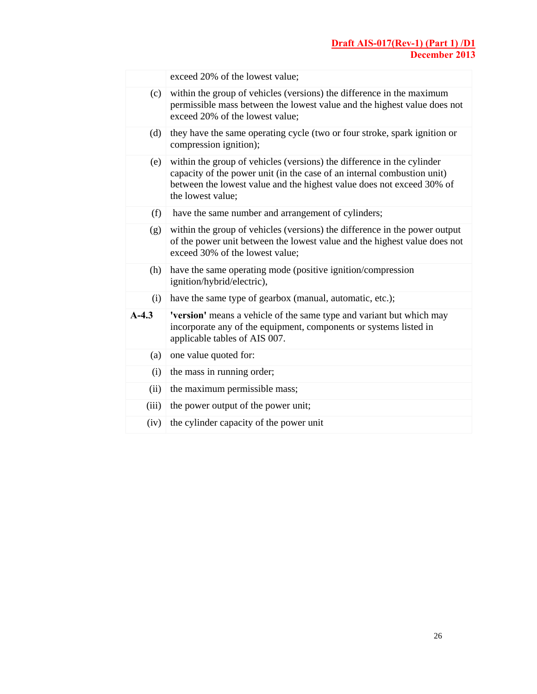|         | exceed 20% of the lowest value;                                                                                                                                                                                                                 |
|---------|-------------------------------------------------------------------------------------------------------------------------------------------------------------------------------------------------------------------------------------------------|
| (c)     | within the group of vehicles (versions) the difference in the maximum<br>permissible mass between the lowest value and the highest value does not<br>exceed 20% of the lowest value;                                                            |
| (d)     | they have the same operating cycle (two or four stroke, spark ignition or<br>compression ignition);                                                                                                                                             |
| (e)     | within the group of vehicles (versions) the difference in the cylinder<br>capacity of the power unit (in the case of an internal combustion unit)<br>between the lowest value and the highest value does not exceed 30% of<br>the lowest value; |
| (f)     | have the same number and arrangement of cylinders;                                                                                                                                                                                              |
| (g)     | within the group of vehicles (versions) the difference in the power output<br>of the power unit between the lowest value and the highest value does not<br>exceed 30% of the lowest value;                                                      |
| (h)     | have the same operating mode (positive ignition/compression<br>ignition/hybrid/electric),                                                                                                                                                       |
| (i)     | have the same type of gearbox (manual, automatic, etc.);                                                                                                                                                                                        |
| $A-4.3$ | 'version' means a vehicle of the same type and variant but which may<br>incorporate any of the equipment, components or systems listed in<br>applicable tables of AIS 007.                                                                      |
| (a)     | one value quoted for:                                                                                                                                                                                                                           |
| (i)     | the mass in running order;                                                                                                                                                                                                                      |
| (ii)    | the maximum permissible mass;                                                                                                                                                                                                                   |
| (iii)   | the power output of the power unit;                                                                                                                                                                                                             |
| (iv)    | the cylinder capacity of the power unit                                                                                                                                                                                                         |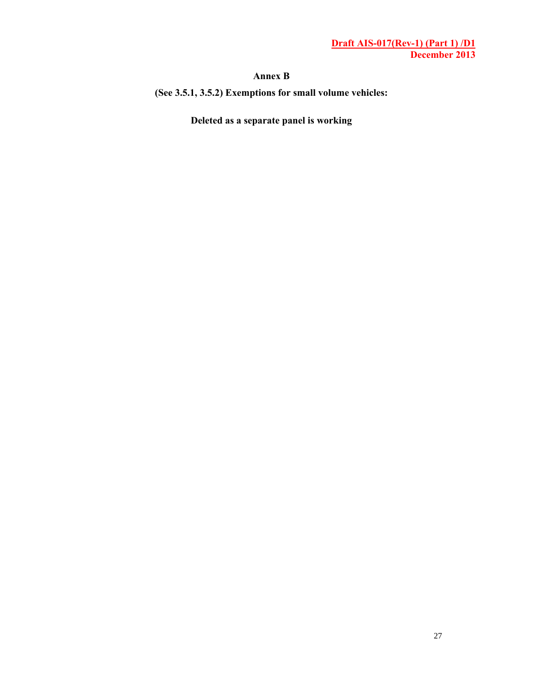#### **Annex B**

**(See 3.5.1, 3.5.2) Exemptions for small volume vehicles:** 

**Deleted as a separate panel is working**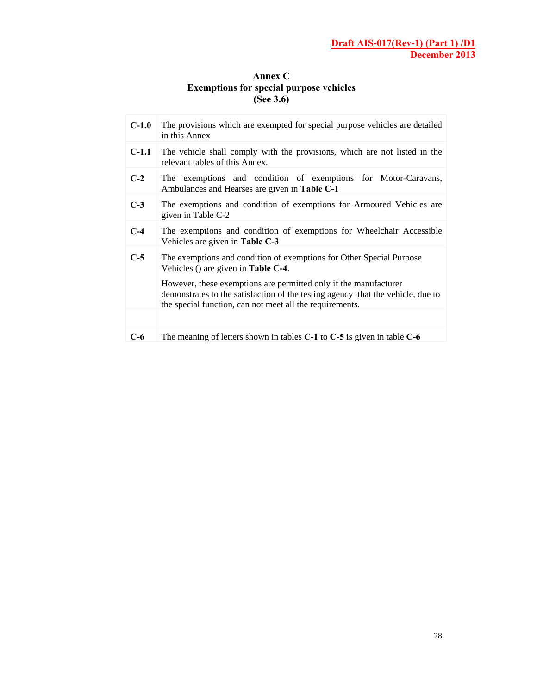## **Annex C Exemptions for special purpose vehicles (See 3.6)**

| $C-1.0$ | The provisions which are exempted for special purpose vehicles are detailed<br>in this Annex                                                                                                                                                                                                                                      |  |
|---------|-----------------------------------------------------------------------------------------------------------------------------------------------------------------------------------------------------------------------------------------------------------------------------------------------------------------------------------|--|
| $C-1.1$ | The vehicle shall comply with the provisions, which are not listed in the<br>relevant tables of this Annex.                                                                                                                                                                                                                       |  |
| $C-2$   | The exemptions and condition of exemptions for Motor-Caravans,<br>Ambulances and Hearses are given in Table C-1                                                                                                                                                                                                                   |  |
| $C-3$   | The exemptions and condition of exemptions for Armoured Vehicles are<br>given in Table C-2                                                                                                                                                                                                                                        |  |
| $C-4$   | The exemptions and condition of exemptions for Wheelchair Accessible<br>Vehicles are given in Table C-3                                                                                                                                                                                                                           |  |
| $C-5$   | The exemptions and condition of exemptions for Other Special Purpose<br>Vehicles () are given in Table $C-4$ .<br>However, these exemptions are permitted only if the manufacturer<br>demonstrates to the satisfaction of the testing agency that the vehicle, due to<br>the special function, can not meet all the requirements. |  |
|         |                                                                                                                                                                                                                                                                                                                                   |  |
| C-6     | The meaning of letters shown in tables $C-1$ to $C-5$ is given in table $C-6$                                                                                                                                                                                                                                                     |  |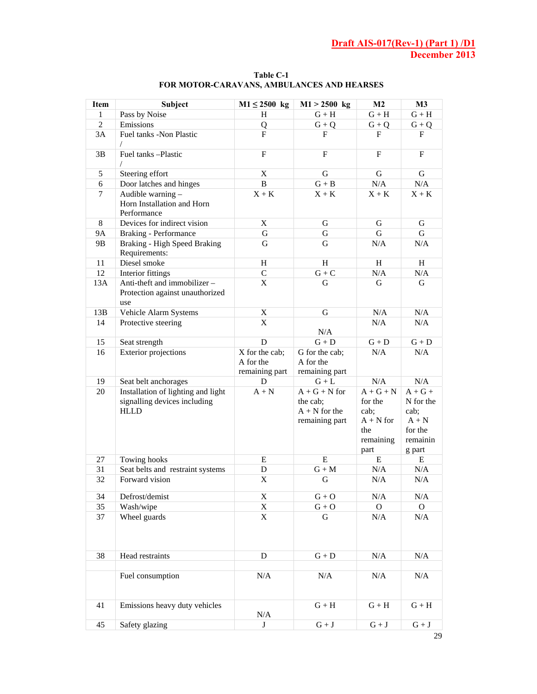| Pass by Noise<br>$G + H$<br>1<br>H<br>$G + H$<br>$G + H$<br>$\overline{2}$<br>Emissions<br>$G + Q$<br>Q<br>$G + Q$<br>${\bf G}+{\bf Q}$<br>3A<br>Fuel tanks -Non Plastic<br>$\mathbf{F}$<br>F<br>F<br>$\mathbf F$<br>$\sqrt{2}$<br>Fuel tanks -Plastic<br>$\mathbf{F}$<br>$\mathbf F$<br>$\mathbf{F}$<br>3B<br>$\mathbf F$<br>$\sqrt{2}$<br>G<br>Steering effort<br>X<br>G<br>G<br>5<br>B<br>N/A<br>6<br>Door latches and hinges<br>$G + B$<br>N/A<br>$\tau$<br>Audible warning -<br>$X + K$<br>$X + K$<br>$X + K$<br>$X + K$<br>Horn Installation and Horn<br>Performance<br>X<br>8<br>Devices for indirect vision<br>G<br>G<br>G<br>G<br>G<br>G<br><b>9A</b><br><b>Braking - Performance</b><br>G<br>Braking - High Speed Braking<br>N/A<br>9B<br>G<br>G<br>N/A<br>Requirements:<br>Diesel smoke<br>11<br>H<br>H<br>H<br>H<br>12<br>Interior fittings<br>$\mathbf C$<br>${\bf G}+{\bf C}$<br>N/A<br>N/A<br>Anti-theft and immobilizer -<br>X<br>13A<br>G<br>G<br>G<br>Protection against unauthorized<br>use<br>13B<br>X<br>N/A<br>N/A<br>Vehicle Alarm Systems<br>G<br>X<br>14<br>Protective steering<br>N/A<br>N/A<br>N/A<br>15<br>Seat strength<br>D<br>$G + D$<br>$G + D$<br>${\bf G}+{\bf D}$<br>X for the cab;<br>G for the cab;<br>N/A<br>16<br><b>Exterior projections</b><br>N/A<br>A for the<br>A for the<br>remaining part<br>remaining part<br>N/A<br>N/A<br>19<br>Seat belt anchorages<br>$G+L$<br>D<br>Installation of lighting and light<br>20<br>$A + G + N$ for<br>$\mathbf{A}+\mathbf{N}$<br>$A + G + N$<br>$A+G+$<br>signalling devices including<br>the cab;<br>for the<br>N for the<br><b>HLLD</b><br>$A + N$ for the<br>cab;<br>cab;<br>$A + N$ for<br>remaining part<br>$A + N$<br>for the<br>the<br>remaining<br>remainin<br>part<br>g part<br>${\bf E}$<br>E<br>E<br>27<br>Towing hooks<br>E<br>31<br>$\rm N/A$<br>N/A<br>Seat belts and restraint systems<br>$G + M$<br>D<br>32<br>Forward vision<br>$\boldsymbol{\mathrm{X}}$<br>G<br>N/A<br>N/A<br>Defrost/demist<br>$\mathbf{G}+\mathbf{O}$<br>34<br>X<br>N/A<br>N/A<br>35<br>$\boldsymbol{\mathrm{X}}$<br>${\bf G}+{\bf O}$<br>Wash/wipe<br>$\overline{O}$<br>$\mathbf{O}$<br>Wheel guards<br>$\mathbf X$<br>$\mathbf G$<br>$\rm N/A$<br>$\rm N/A$<br>37<br>${\bf G}+{\bf D}$<br>$\rm N/A$<br>38<br>Head restraints<br>$\mathbf D$<br>N/A<br>Fuel consumption<br>N/A<br>N/A<br>N/A<br>N/A<br>${\bf G}+{\bf H}$<br>${\bf G}+{\bf H}$<br>41<br>Emissions heavy duty vehicles<br>${\bf G}+{\bf H}$<br>N/A<br>Safety glazing<br>${\bf G}+{\bf J}$<br>${\bf G}+{\bf J}$<br>45<br>$\bf J$<br>${\bf G}+{\bf J}$ | <b>Item</b> | <b>Subject</b> | $M1 \leq 2500$ kg | $M1 > 2500$ kg | M <sub>2</sub> | M3 |
|------------------------------------------------------------------------------------------------------------------------------------------------------------------------------------------------------------------------------------------------------------------------------------------------------------------------------------------------------------------------------------------------------------------------------------------------------------------------------------------------------------------------------------------------------------------------------------------------------------------------------------------------------------------------------------------------------------------------------------------------------------------------------------------------------------------------------------------------------------------------------------------------------------------------------------------------------------------------------------------------------------------------------------------------------------------------------------------------------------------------------------------------------------------------------------------------------------------------------------------------------------------------------------------------------------------------------------------------------------------------------------------------------------------------------------------------------------------------------------------------------------------------------------------------------------------------------------------------------------------------------------------------------------------------------------------------------------------------------------------------------------------------------------------------------------------------------------------------------------------------------------------------------------------------------------------------------------------------------------------------------------------------------------------------------------------------------------------------------------------------------------------------------------------------------------------------------------------------------------------------------------------------------------------------------------------------------------------------------------------------------------------------------------------------------------------------------------------------------------------------------------------------------------------------------------------------------------------|-------------|----------------|-------------------|----------------|----------------|----|
|                                                                                                                                                                                                                                                                                                                                                                                                                                                                                                                                                                                                                                                                                                                                                                                                                                                                                                                                                                                                                                                                                                                                                                                                                                                                                                                                                                                                                                                                                                                                                                                                                                                                                                                                                                                                                                                                                                                                                                                                                                                                                                                                                                                                                                                                                                                                                                                                                                                                                                                                                                                          |             |                |                   |                |                |    |
|                                                                                                                                                                                                                                                                                                                                                                                                                                                                                                                                                                                                                                                                                                                                                                                                                                                                                                                                                                                                                                                                                                                                                                                                                                                                                                                                                                                                                                                                                                                                                                                                                                                                                                                                                                                                                                                                                                                                                                                                                                                                                                                                                                                                                                                                                                                                                                                                                                                                                                                                                                                          |             |                |                   |                |                |    |
|                                                                                                                                                                                                                                                                                                                                                                                                                                                                                                                                                                                                                                                                                                                                                                                                                                                                                                                                                                                                                                                                                                                                                                                                                                                                                                                                                                                                                                                                                                                                                                                                                                                                                                                                                                                                                                                                                                                                                                                                                                                                                                                                                                                                                                                                                                                                                                                                                                                                                                                                                                                          |             |                |                   |                |                |    |
|                                                                                                                                                                                                                                                                                                                                                                                                                                                                                                                                                                                                                                                                                                                                                                                                                                                                                                                                                                                                                                                                                                                                                                                                                                                                                                                                                                                                                                                                                                                                                                                                                                                                                                                                                                                                                                                                                                                                                                                                                                                                                                                                                                                                                                                                                                                                                                                                                                                                                                                                                                                          |             |                |                   |                |                |    |
|                                                                                                                                                                                                                                                                                                                                                                                                                                                                                                                                                                                                                                                                                                                                                                                                                                                                                                                                                                                                                                                                                                                                                                                                                                                                                                                                                                                                                                                                                                                                                                                                                                                                                                                                                                                                                                                                                                                                                                                                                                                                                                                                                                                                                                                                                                                                                                                                                                                                                                                                                                                          |             |                |                   |                |                |    |
|                                                                                                                                                                                                                                                                                                                                                                                                                                                                                                                                                                                                                                                                                                                                                                                                                                                                                                                                                                                                                                                                                                                                                                                                                                                                                                                                                                                                                                                                                                                                                                                                                                                                                                                                                                                                                                                                                                                                                                                                                                                                                                                                                                                                                                                                                                                                                                                                                                                                                                                                                                                          |             |                |                   |                |                |    |
|                                                                                                                                                                                                                                                                                                                                                                                                                                                                                                                                                                                                                                                                                                                                                                                                                                                                                                                                                                                                                                                                                                                                                                                                                                                                                                                                                                                                                                                                                                                                                                                                                                                                                                                                                                                                                                                                                                                                                                                                                                                                                                                                                                                                                                                                                                                                                                                                                                                                                                                                                                                          |             |                |                   |                |                |    |
|                                                                                                                                                                                                                                                                                                                                                                                                                                                                                                                                                                                                                                                                                                                                                                                                                                                                                                                                                                                                                                                                                                                                                                                                                                                                                                                                                                                                                                                                                                                                                                                                                                                                                                                                                                                                                                                                                                                                                                                                                                                                                                                                                                                                                                                                                                                                                                                                                                                                                                                                                                                          |             |                |                   |                |                |    |
|                                                                                                                                                                                                                                                                                                                                                                                                                                                                                                                                                                                                                                                                                                                                                                                                                                                                                                                                                                                                                                                                                                                                                                                                                                                                                                                                                                                                                                                                                                                                                                                                                                                                                                                                                                                                                                                                                                                                                                                                                                                                                                                                                                                                                                                                                                                                                                                                                                                                                                                                                                                          |             |                |                   |                |                |    |
|                                                                                                                                                                                                                                                                                                                                                                                                                                                                                                                                                                                                                                                                                                                                                                                                                                                                                                                                                                                                                                                                                                                                                                                                                                                                                                                                                                                                                                                                                                                                                                                                                                                                                                                                                                                                                                                                                                                                                                                                                                                                                                                                                                                                                                                                                                                                                                                                                                                                                                                                                                                          |             |                |                   |                |                |    |
|                                                                                                                                                                                                                                                                                                                                                                                                                                                                                                                                                                                                                                                                                                                                                                                                                                                                                                                                                                                                                                                                                                                                                                                                                                                                                                                                                                                                                                                                                                                                                                                                                                                                                                                                                                                                                                                                                                                                                                                                                                                                                                                                                                                                                                                                                                                                                                                                                                                                                                                                                                                          |             |                |                   |                |                |    |
|                                                                                                                                                                                                                                                                                                                                                                                                                                                                                                                                                                                                                                                                                                                                                                                                                                                                                                                                                                                                                                                                                                                                                                                                                                                                                                                                                                                                                                                                                                                                                                                                                                                                                                                                                                                                                                                                                                                                                                                                                                                                                                                                                                                                                                                                                                                                                                                                                                                                                                                                                                                          |             |                |                   |                |                |    |
|                                                                                                                                                                                                                                                                                                                                                                                                                                                                                                                                                                                                                                                                                                                                                                                                                                                                                                                                                                                                                                                                                                                                                                                                                                                                                                                                                                                                                                                                                                                                                                                                                                                                                                                                                                                                                                                                                                                                                                                                                                                                                                                                                                                                                                                                                                                                                                                                                                                                                                                                                                                          |             |                |                   |                |                |    |
|                                                                                                                                                                                                                                                                                                                                                                                                                                                                                                                                                                                                                                                                                                                                                                                                                                                                                                                                                                                                                                                                                                                                                                                                                                                                                                                                                                                                                                                                                                                                                                                                                                                                                                                                                                                                                                                                                                                                                                                                                                                                                                                                                                                                                                                                                                                                                                                                                                                                                                                                                                                          |             |                |                   |                |                |    |
|                                                                                                                                                                                                                                                                                                                                                                                                                                                                                                                                                                                                                                                                                                                                                                                                                                                                                                                                                                                                                                                                                                                                                                                                                                                                                                                                                                                                                                                                                                                                                                                                                                                                                                                                                                                                                                                                                                                                                                                                                                                                                                                                                                                                                                                                                                                                                                                                                                                                                                                                                                                          |             |                |                   |                |                |    |
|                                                                                                                                                                                                                                                                                                                                                                                                                                                                                                                                                                                                                                                                                                                                                                                                                                                                                                                                                                                                                                                                                                                                                                                                                                                                                                                                                                                                                                                                                                                                                                                                                                                                                                                                                                                                                                                                                                                                                                                                                                                                                                                                                                                                                                                                                                                                                                                                                                                                                                                                                                                          |             |                |                   |                |                |    |
|                                                                                                                                                                                                                                                                                                                                                                                                                                                                                                                                                                                                                                                                                                                                                                                                                                                                                                                                                                                                                                                                                                                                                                                                                                                                                                                                                                                                                                                                                                                                                                                                                                                                                                                                                                                                                                                                                                                                                                                                                                                                                                                                                                                                                                                                                                                                                                                                                                                                                                                                                                                          |             |                |                   |                |                |    |
|                                                                                                                                                                                                                                                                                                                                                                                                                                                                                                                                                                                                                                                                                                                                                                                                                                                                                                                                                                                                                                                                                                                                                                                                                                                                                                                                                                                                                                                                                                                                                                                                                                                                                                                                                                                                                                                                                                                                                                                                                                                                                                                                                                                                                                                                                                                                                                                                                                                                                                                                                                                          |             |                |                   |                |                |    |
|                                                                                                                                                                                                                                                                                                                                                                                                                                                                                                                                                                                                                                                                                                                                                                                                                                                                                                                                                                                                                                                                                                                                                                                                                                                                                                                                                                                                                                                                                                                                                                                                                                                                                                                                                                                                                                                                                                                                                                                                                                                                                                                                                                                                                                                                                                                                                                                                                                                                                                                                                                                          |             |                |                   |                |                |    |
|                                                                                                                                                                                                                                                                                                                                                                                                                                                                                                                                                                                                                                                                                                                                                                                                                                                                                                                                                                                                                                                                                                                                                                                                                                                                                                                                                                                                                                                                                                                                                                                                                                                                                                                                                                                                                                                                                                                                                                                                                                                                                                                                                                                                                                                                                                                                                                                                                                                                                                                                                                                          |             |                |                   |                |                |    |
|                                                                                                                                                                                                                                                                                                                                                                                                                                                                                                                                                                                                                                                                                                                                                                                                                                                                                                                                                                                                                                                                                                                                                                                                                                                                                                                                                                                                                                                                                                                                                                                                                                                                                                                                                                                                                                                                                                                                                                                                                                                                                                                                                                                                                                                                                                                                                                                                                                                                                                                                                                                          |             |                |                   |                |                |    |
|                                                                                                                                                                                                                                                                                                                                                                                                                                                                                                                                                                                                                                                                                                                                                                                                                                                                                                                                                                                                                                                                                                                                                                                                                                                                                                                                                                                                                                                                                                                                                                                                                                                                                                                                                                                                                                                                                                                                                                                                                                                                                                                                                                                                                                                                                                                                                                                                                                                                                                                                                                                          |             |                |                   |                |                |    |
|                                                                                                                                                                                                                                                                                                                                                                                                                                                                                                                                                                                                                                                                                                                                                                                                                                                                                                                                                                                                                                                                                                                                                                                                                                                                                                                                                                                                                                                                                                                                                                                                                                                                                                                                                                                                                                                                                                                                                                                                                                                                                                                                                                                                                                                                                                                                                                                                                                                                                                                                                                                          |             |                |                   |                |                |    |
|                                                                                                                                                                                                                                                                                                                                                                                                                                                                                                                                                                                                                                                                                                                                                                                                                                                                                                                                                                                                                                                                                                                                                                                                                                                                                                                                                                                                                                                                                                                                                                                                                                                                                                                                                                                                                                                                                                                                                                                                                                                                                                                                                                                                                                                                                                                                                                                                                                                                                                                                                                                          |             |                |                   |                |                |    |
|                                                                                                                                                                                                                                                                                                                                                                                                                                                                                                                                                                                                                                                                                                                                                                                                                                                                                                                                                                                                                                                                                                                                                                                                                                                                                                                                                                                                                                                                                                                                                                                                                                                                                                                                                                                                                                                                                                                                                                                                                                                                                                                                                                                                                                                                                                                                                                                                                                                                                                                                                                                          |             |                |                   |                |                |    |
|                                                                                                                                                                                                                                                                                                                                                                                                                                                                                                                                                                                                                                                                                                                                                                                                                                                                                                                                                                                                                                                                                                                                                                                                                                                                                                                                                                                                                                                                                                                                                                                                                                                                                                                                                                                                                                                                                                                                                                                                                                                                                                                                                                                                                                                                                                                                                                                                                                                                                                                                                                                          |             |                |                   |                |                |    |
|                                                                                                                                                                                                                                                                                                                                                                                                                                                                                                                                                                                                                                                                                                                                                                                                                                                                                                                                                                                                                                                                                                                                                                                                                                                                                                                                                                                                                                                                                                                                                                                                                                                                                                                                                                                                                                                                                                                                                                                                                                                                                                                                                                                                                                                                                                                                                                                                                                                                                                                                                                                          |             |                |                   |                |                |    |
|                                                                                                                                                                                                                                                                                                                                                                                                                                                                                                                                                                                                                                                                                                                                                                                                                                                                                                                                                                                                                                                                                                                                                                                                                                                                                                                                                                                                                                                                                                                                                                                                                                                                                                                                                                                                                                                                                                                                                                                                                                                                                                                                                                                                                                                                                                                                                                                                                                                                                                                                                                                          |             |                |                   |                |                |    |
|                                                                                                                                                                                                                                                                                                                                                                                                                                                                                                                                                                                                                                                                                                                                                                                                                                                                                                                                                                                                                                                                                                                                                                                                                                                                                                                                                                                                                                                                                                                                                                                                                                                                                                                                                                                                                                                                                                                                                                                                                                                                                                                                                                                                                                                                                                                                                                                                                                                                                                                                                                                          |             |                |                   |                |                |    |

**Table C-1 FOR MOTOR-CARAVANS, AMBULANCES AND HEARSES**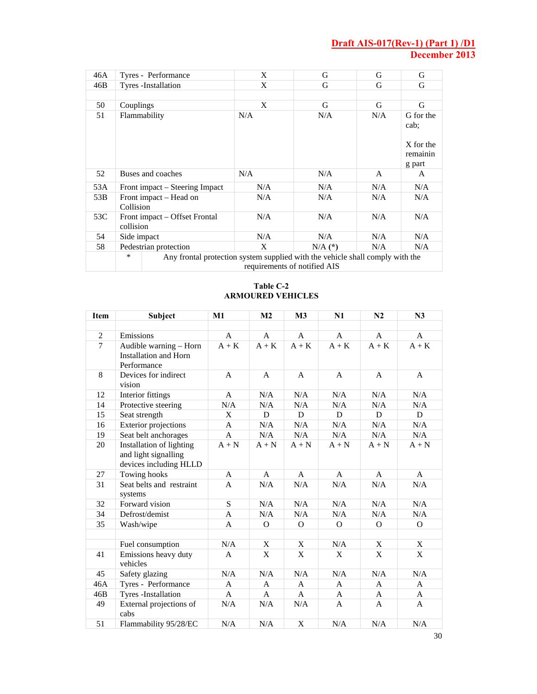| 46A | Tyres - Performance                                                                                                     | X   | G           | G   | G                                                    |
|-----|-------------------------------------------------------------------------------------------------------------------------|-----|-------------|-----|------------------------------------------------------|
| 46B | Tyres - Installation                                                                                                    | X   | G           | G   | G                                                    |
|     |                                                                                                                         |     |             |     |                                                      |
| 50  | Couplings                                                                                                               | X   | G           | G   | G                                                    |
| 51  | Flammability                                                                                                            | N/A | N/A         | N/A | G for the<br>cab:<br>X for the<br>remainin<br>g part |
| 52  | Buses and coaches                                                                                                       | N/A | N/A         | A   | A                                                    |
| 53A | Front impact – Steering Impact                                                                                          | N/A | N/A         | N/A | N/A                                                  |
| 53B | Front impact – Head on<br>Collision                                                                                     | N/A | N/A         | N/A | N/A                                                  |
| 53C | Front impact – Offset Frontal<br>collision                                                                              | N/A | N/A         | N/A | N/A                                                  |
| 54  | Side impact                                                                                                             | N/A | N/A         | N/A | N/A                                                  |
| 58  | Pedestrian protection                                                                                                   | X   | $N/A$ $(*)$ | N/A | N/A                                                  |
|     | $\ast$<br>Any frontal protection system supplied with the vehicle shall comply with the<br>requirements of notified AIS |     |             |     |                                                      |

#### **Table C-2 ARMOURED VEHICLES**

| <b>Item</b>    | Subject                                                                    | M1             | M <sub>2</sub> | M3           | N1             | N2           | N3           |
|----------------|----------------------------------------------------------------------------|----------------|----------------|--------------|----------------|--------------|--------------|
|                |                                                                            |                |                |              |                |              |              |
| $\overline{2}$ | Emissions                                                                  | A              | A              | A            | A              | $\mathbf{A}$ | A            |
| $\overline{7}$ | Audible warning - Horn<br><b>Installation and Horn</b><br>Performance      | $A + K$        | $A + K$        | $A + K$      | $A + K$        | $A + K$      | $A + K$      |
| 8              | Devices for indirect<br>vision                                             | $\mathsf{A}$   | $\mathsf{A}$   | $\mathsf{A}$ | $\mathsf{A}$   | $\mathsf{A}$ | A            |
| 12             | Interior fittings                                                          | A              | N/A            | N/A          | N/A            | N/A          | N/A          |
| 14             | Protective steering                                                        | N/A            | N/A            | N/A          | N/A            | N/A          | N/A          |
| 15             | Seat strength                                                              | X              | D              | D            | D              | $\mathbf D$  | D            |
| 16             | <b>Exterior projections</b>                                                | A              | N/A            | N/A          | N/A            | N/A          | N/A          |
| 19             | Seat belt anchorages                                                       | A              | N/A            | N/A          | N/A            | N/A          | N/A          |
| 20             | Installation of lighting<br>and light signalling<br>devices including HLLD | $A + N$        | $A + N$        | $A + N$      | $A + N$        | $A + N$      | $A + N$      |
| 27             | Towing hooks                                                               | A              | A              | A            | A              | A            | A            |
| 31             | Seat belts and restraint<br>systems                                        | $\overline{A}$ | N/A            | N/A          | N/A            | N/A          | N/A          |
| 32             | Forward vision                                                             | S              | N/A            | N/A          | N/A            | N/A          | N/A          |
| 34             | Defrost/demist                                                             | A              | N/A            | N/A          | N/A            | N/A          | N/A          |
| 35             | Wash/wipe                                                                  | $\mathbf{A}$   | $\Omega$       | $\Omega$     | $\overline{O}$ | $\Omega$     | $\Omega$     |
|                |                                                                            |                |                |              |                |              |              |
|                | Fuel consumption                                                           | N/A            | X              | X            | N/A            | X            | X            |
| 41             | Emissions heavy duty<br>vehicles                                           | A              | X              | X            | X              | X            | X            |
| 45             | Safety glazing                                                             | N/A            | N/A            | N/A          | N/A            | N/A          | N/A          |
| 46A            | Tyres - Performance                                                        | $\mathsf{A}$   | $\mathsf{A}$   | $\mathbf{A}$ | $\mathsf{A}$   | $\mathsf{A}$ | $\mathsf{A}$ |
| 46B            | Tyres -Installation                                                        | A              | A              | A            | A              | A            | A            |
| 49             | External projections of<br>cabs                                            | N/A            | N/A            | N/A          | A              | A            | A            |
| 51             | Flammability 95/28/EC                                                      | N/A            | N/A            | X            | N/A            | N/A          | N/A          |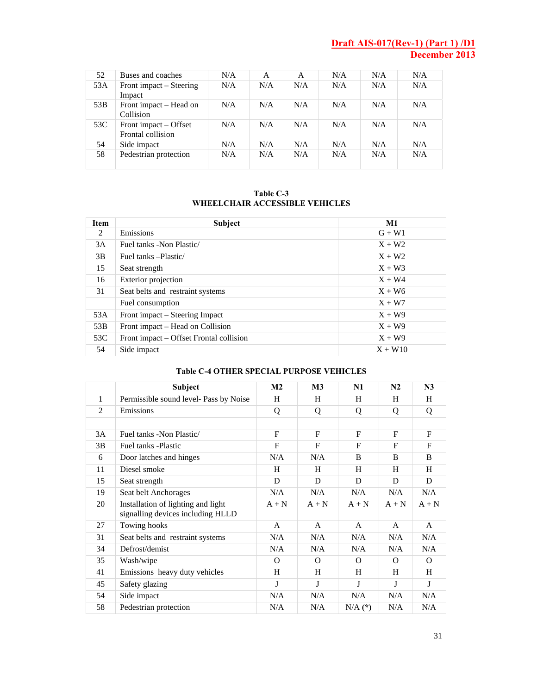| 52  | Buses and coaches                          | N/A | A   | A   | N/A | N/A | N/A |
|-----|--------------------------------------------|-----|-----|-----|-----|-----|-----|
| 53A | Front impact – Steering<br>Impact          | N/A | N/A | N/A | N/A | N/A | N/A |
| 53B | Front impact – Head on<br>Collision        | N/A | N/A | N/A | N/A | N/A | N/A |
| 53C | Front impact – Offset<br>Frontal collision | N/A | N/A | N/A | N/A | N/A | N/A |
| 54  | Side impact                                | N/A | N/A | N/A | N/A | N/A | N/A |
| 58  | Pedestrian protection                      | N/A | N/A | N/A | N/A | N/A | N/A |

#### **Table C-3 WHEELCHAIR ACCESSIBLE VEHICLES**

| <b>Item</b> | <b>Subject</b>                          | $\mathbf{M}1$ |
|-------------|-----------------------------------------|---------------|
| 2           | Emissions                               | $G + W1$      |
| 3A          | Fuel tanks - Non Plastic/               | $X + W2$      |
| 3B          | Fuel tanks - Plastic/                   | $X + W2$      |
| 15          | Seat strength                           | $X + W3$      |
| 16          | Exterior projection                     | $X + W4$      |
| 31          | Seat belts and restraint systems        | $X + W6$      |
|             | Fuel consumption                        | $X + W7$      |
| 53A         | Front impact – Steering Impact          | $X + W9$      |
| 53B         | Front impact – Head on Collision        | $X + W9$      |
| 53C         | Front impact – Offset Frontal collision | $X + W9$      |
| 54          | Side impact                             | $X + W10$     |

#### **Table C-4 OTHER SPECIAL PURPOSE VEHICLES**

|    | <b>Subject</b>                                                          | M <sub>2</sub> | M <sub>3</sub> | N1           | N <sub>2</sub> | N <sub>3</sub> |
|----|-------------------------------------------------------------------------|----------------|----------------|--------------|----------------|----------------|
| 1  | Permissible sound level- Pass by Noise                                  | H              | H              | H            | H              | H              |
| 2  | Emissions                                                               | Q              | Q              | Q            | Q              | Q              |
|    |                                                                         |                |                |              |                |                |
| 3A | Fuel tanks -Non Plastic/                                                | $\mathbf{F}$   | F              | F            | $\mathbf{F}$   | $\mathbf{F}$   |
| 3B | Fuel tanks -Plastic                                                     | $\mathbf F$    | $\mathbf{F}$   | $\mathbf{F}$ | F              | $\mathbf{F}$   |
| 6  | Door latches and hinges                                                 | N/A            | N/A            | B            | B              | B              |
| 11 | Diesel smoke                                                            | H              | H              | H            | H              | H              |
| 15 | Seat strength                                                           | D              | D              | D            | D              | D              |
| 19 | Seat belt Anchorages                                                    | N/A            | N/A            | N/A          | N/A            | N/A            |
| 20 | Installation of lighting and light<br>signalling devices including HLLD | $A + N$        | $A + N$        | $A + N$      | $A + N$        | $A + N$        |
| 27 | Towing hooks                                                            | A              | A              | $\mathsf{A}$ | A              | A              |
| 31 | Seat belts and restraint systems                                        | N/A            | N/A            | N/A          | N/A            | N/A            |
| 34 | Defrost/demist                                                          | N/A            | N/A            | N/A          | N/A            | N/A            |
| 35 | Wash/wipe                                                               | $\Omega$       | $\Omega$       | $\Omega$     | $\Omega$       | $\Omega$       |
| 41 | Emissions heavy duty vehicles                                           | H              | H              | H            | H              | H              |
| 45 | Safety glazing                                                          | J              | J              | J            | J              | J              |
| 54 | Side impact                                                             | N/A            | N/A            | N/A          | N/A            | N/A            |
| 58 | Pedestrian protection                                                   | N/A            | N/A            | $N/A$ $(*)$  | N/A            | N/A            |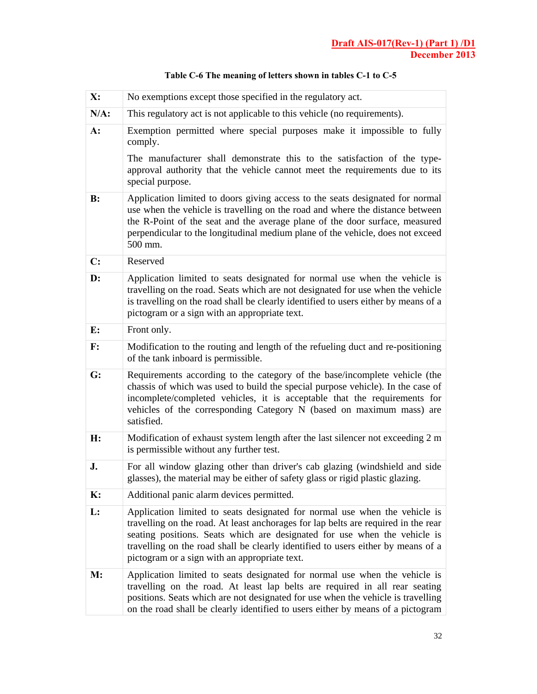| X:             | No exemptions except those specified in the regulatory act.                                                                                                                                                                                                                                                                                                                        |
|----------------|------------------------------------------------------------------------------------------------------------------------------------------------------------------------------------------------------------------------------------------------------------------------------------------------------------------------------------------------------------------------------------|
| $N/A$ :        | This regulatory act is not applicable to this vehicle (no requirements).                                                                                                                                                                                                                                                                                                           |
| $A$ :          | Exemption permitted where special purposes make it impossible to fully<br>comply.                                                                                                                                                                                                                                                                                                  |
|                | The manufacturer shall demonstrate this to the satisfaction of the type-<br>approval authority that the vehicle cannot meet the requirements due to its<br>special purpose.                                                                                                                                                                                                        |
| B:             | Application limited to doors giving access to the seats designated for normal<br>use when the vehicle is travelling on the road and where the distance between<br>the R-Point of the seat and the average plane of the door surface, measured<br>perpendicular to the longitudinal medium plane of the vehicle, does not exceed<br>500 mm.                                         |
| $\mathbf{C}$ : | Reserved                                                                                                                                                                                                                                                                                                                                                                           |
| D:             | Application limited to seats designated for normal use when the vehicle is<br>travelling on the road. Seats which are not designated for use when the vehicle<br>is travelling on the road shall be clearly identified to users either by means of a<br>pictogram or a sign with an appropriate text.                                                                              |
| E:             | Front only.                                                                                                                                                                                                                                                                                                                                                                        |
| $\mathbf{F}$ : | Modification to the routing and length of the refueling duct and re-positioning<br>of the tank inboard is permissible.                                                                                                                                                                                                                                                             |
| G:             | Requirements according to the category of the base/incomplete vehicle (the<br>chassis of which was used to build the special purpose vehicle). In the case of<br>incomplete/completed vehicles, it is acceptable that the requirements for<br>vehicles of the corresponding Category N (based on maximum mass) are<br>satisfied.                                                   |
| H:             | Modification of exhaust system length after the last silencer not exceeding 2 m<br>is permissible without any further test.                                                                                                                                                                                                                                                        |
| J.             | For all window glazing other than driver's cab glazing (windshield and side<br>glasses), the material may be either of safety glass or rigid plastic glazing.                                                                                                                                                                                                                      |
| K:             | Additional panic alarm devices permitted.                                                                                                                                                                                                                                                                                                                                          |
| L:             | Application limited to seats designated for normal use when the vehicle is<br>travelling on the road. At least anchorages for lap belts are required in the rear<br>seating positions. Seats which are designated for use when the vehicle is<br>travelling on the road shall be clearly identified to users either by means of a<br>pictogram or a sign with an appropriate text. |
| M:             | Application limited to seats designated for normal use when the vehicle is<br>travelling on the road. At least lap belts are required in all rear seating<br>positions. Seats which are not designated for use when the vehicle is travelling<br>on the road shall be clearly identified to users either by means of a pictogram                                                   |

# **Table C-6 The meaning of letters shown in tables C-1 to C-5**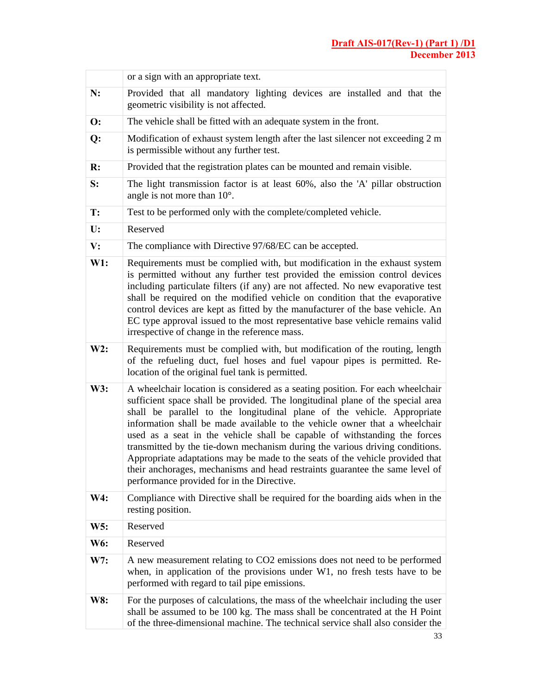|                | or a sign with an appropriate text.                                                                                                                                                                                                                                                                                                                                                                                                                                                                                                                                                                                                                                                                   |
|----------------|-------------------------------------------------------------------------------------------------------------------------------------------------------------------------------------------------------------------------------------------------------------------------------------------------------------------------------------------------------------------------------------------------------------------------------------------------------------------------------------------------------------------------------------------------------------------------------------------------------------------------------------------------------------------------------------------------------|
| N:             | Provided that all mandatory lighting devices are installed and that the<br>geometric visibility is not affected.                                                                                                                                                                                                                                                                                                                                                                                                                                                                                                                                                                                      |
| $\mathbf{O}$ : | The vehicle shall be fitted with an adequate system in the front.                                                                                                                                                                                                                                                                                                                                                                                                                                                                                                                                                                                                                                     |
| Q:             | Modification of exhaust system length after the last silencer not exceeding 2 m<br>is permissible without any further test.                                                                                                                                                                                                                                                                                                                                                                                                                                                                                                                                                                           |
| R:             | Provided that the registration plates can be mounted and remain visible.                                                                                                                                                                                                                                                                                                                                                                                                                                                                                                                                                                                                                              |
| S:             | The light transmission factor is at least 60%, also the 'A' pillar obstruction<br>angle is not more than $10^{\circ}$ .                                                                                                                                                                                                                                                                                                                                                                                                                                                                                                                                                                               |
| T:             | Test to be performed only with the complete/completed vehicle.                                                                                                                                                                                                                                                                                                                                                                                                                                                                                                                                                                                                                                        |
| U:             | Reserved                                                                                                                                                                                                                                                                                                                                                                                                                                                                                                                                                                                                                                                                                              |
| $\mathbf{V}$ : | The compliance with Directive 97/68/EC can be accepted.                                                                                                                                                                                                                                                                                                                                                                                                                                                                                                                                                                                                                                               |
| W1:            | Requirements must be complied with, but modification in the exhaust system<br>is permitted without any further test provided the emission control devices<br>including particulate filters (if any) are not affected. No new evaporative test<br>shall be required on the modified vehicle on condition that the evaporative<br>control devices are kept as fitted by the manufacturer of the base vehicle. An<br>EC type approval issued to the most representative base vehicle remains valid<br>irrespective of change in the reference mass.                                                                                                                                                      |
| W2:            | Requirements must be complied with, but modification of the routing, length<br>of the refueling duct, fuel hoses and fuel vapour pipes is permitted. Re-<br>location of the original fuel tank is permitted.                                                                                                                                                                                                                                                                                                                                                                                                                                                                                          |
| W3:            | A wheelchair location is considered as a seating position. For each wheelchair<br>sufficient space shall be provided. The longitudinal plane of the special area<br>shall be parallel to the longitudinal plane of the vehicle. Appropriate<br>information shall be made available to the vehicle owner that a wheelchair<br>used as a seat in the vehicle shall be capable of withstanding the forces<br>transmitted by the tie-down mechanism during the various driving conditions.<br>Appropriate adaptations may be made to the seats of the vehicle provided that<br>their anchorages, mechanisms and head restraints guarantee the same level of<br>performance provided for in the Directive. |
| W4:            | Compliance with Directive shall be required for the boarding aids when in the<br>resting position.                                                                                                                                                                                                                                                                                                                                                                                                                                                                                                                                                                                                    |
| W5:            | Reserved                                                                                                                                                                                                                                                                                                                                                                                                                                                                                                                                                                                                                                                                                              |
| W6:            | Reserved                                                                                                                                                                                                                                                                                                                                                                                                                                                                                                                                                                                                                                                                                              |
| W7:            | A new measurement relating to CO2 emissions does not need to be performed<br>when, in application of the provisions under W1, no fresh tests have to be<br>performed with regard to tail pipe emissions.                                                                                                                                                                                                                                                                                                                                                                                                                                                                                              |
| W8:            | For the purposes of calculations, the mass of the wheelchair including the user<br>shall be assumed to be 100 kg. The mass shall be concentrated at the H Point<br>of the three-dimensional machine. The technical service shall also consider the                                                                                                                                                                                                                                                                                                                                                                                                                                                    |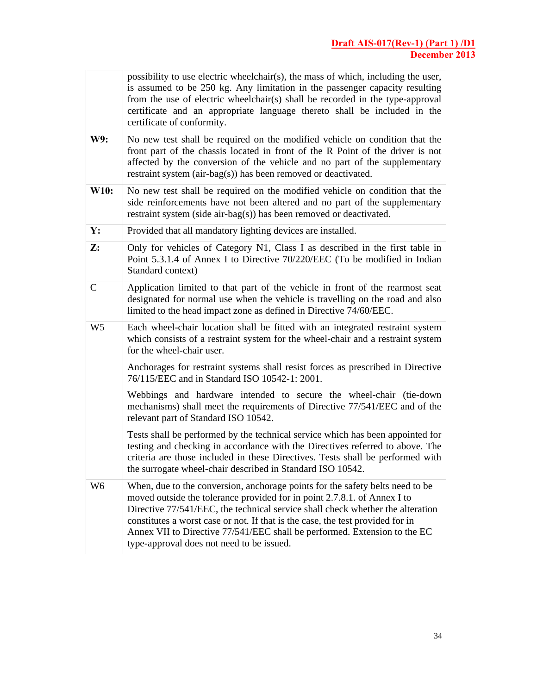|                | possibility to use electric wheelchair(s), the mass of which, including the user,<br>is assumed to be 250 kg. Any limitation in the passenger capacity resulting<br>from the use of electric wheelchair(s) shall be recorded in the type-approval<br>certificate and an appropriate language thereto shall be included in the<br>certificate of conformity.                                                                                             |
|----------------|---------------------------------------------------------------------------------------------------------------------------------------------------------------------------------------------------------------------------------------------------------------------------------------------------------------------------------------------------------------------------------------------------------------------------------------------------------|
| W9:            | No new test shall be required on the modified vehicle on condition that the<br>front part of the chassis located in front of the R Point of the driver is not<br>affected by the conversion of the vehicle and no part of the supplementary<br>restraint system (air-bag(s)) has been removed or deactivated.                                                                                                                                           |
| W10:           | No new test shall be required on the modified vehicle on condition that the<br>side reinforcements have not been altered and no part of the supplementary<br>restraint system (side air-bag(s)) has been removed or deactivated.                                                                                                                                                                                                                        |
| Y:             | Provided that all mandatory lighting devices are installed.                                                                                                                                                                                                                                                                                                                                                                                             |
| Z:             | Only for vehicles of Category N1, Class I as described in the first table in<br>Point 5.3.1.4 of Annex I to Directive 70/220/EEC (To be modified in Indian<br>Standard context)                                                                                                                                                                                                                                                                         |
| $\mathsf{C}$   | Application limited to that part of the vehicle in front of the rearmost seat<br>designated for normal use when the vehicle is travelling on the road and also<br>limited to the head impact zone as defined in Directive 74/60/EEC.                                                                                                                                                                                                                    |
| W <sub>5</sub> | Each wheel-chair location shall be fitted with an integrated restraint system<br>which consists of a restraint system for the wheel-chair and a restraint system<br>for the wheel-chair user.                                                                                                                                                                                                                                                           |
|                | Anchorages for restraint systems shall resist forces as prescribed in Directive<br>76/115/EEC and in Standard ISO 10542-1: 2001.                                                                                                                                                                                                                                                                                                                        |
|                | Webbings and hardware intended to secure the wheel-chair (tie-down<br>mechanisms) shall meet the requirements of Directive 77/541/EEC and of the<br>relevant part of Standard ISO 10542.                                                                                                                                                                                                                                                                |
|                | Tests shall be performed by the technical service which has been appointed for<br>testing and checking in accordance with the Directives referred to above. The<br>criteria are those included in these Directives. Tests shall be performed with<br>the surrogate wheel-chair described in Standard ISO 10542.                                                                                                                                         |
| W6             | When, due to the conversion, anchorage points for the safety belts need to be<br>moved outside the tolerance provided for in point 2.7.8.1. of Annex I to<br>Directive 77/541/EEC, the technical service shall check whether the alteration<br>constitutes a worst case or not. If that is the case, the test provided for in<br>Annex VII to Directive 77/541/EEC shall be performed. Extension to the EC<br>type-approval does not need to be issued. |

 $\overline{\Gamma}$ 

T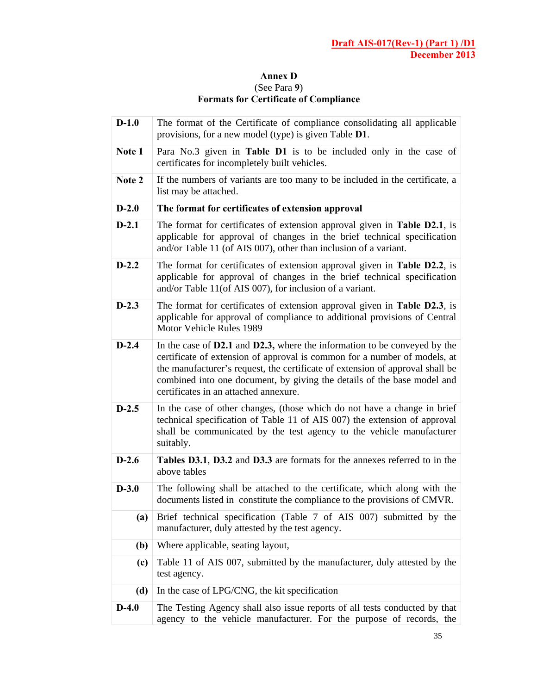## **Annex D**  (See Para **9**) **Formats for Certificate of Compliance**

| $D-1.0$ | The format of the Certificate of compliance consolidating all applicable<br>provisions, for a new model (type) is given Table D1.                                                                                                                                                                                                                           |
|---------|-------------------------------------------------------------------------------------------------------------------------------------------------------------------------------------------------------------------------------------------------------------------------------------------------------------------------------------------------------------|
| Note 1  | Para No.3 given in Table D1 is to be included only in the case of<br>certificates for incompletely built vehicles.                                                                                                                                                                                                                                          |
| Note 2  | If the numbers of variants are too many to be included in the certificate, a<br>list may be attached.                                                                                                                                                                                                                                                       |
| $D-2.0$ | The format for certificates of extension approval                                                                                                                                                                                                                                                                                                           |
| $D-2.1$ | The format for certificates of extension approval given in Table D2.1, is<br>applicable for approval of changes in the brief technical specification<br>and/or Table 11 (of AIS 007), other than inclusion of a variant.                                                                                                                                    |
| $D-2.2$ | The format for certificates of extension approval given in Table D2.2, is<br>applicable for approval of changes in the brief technical specification<br>and/or Table 11(of AIS 007), for inclusion of a variant.                                                                                                                                            |
| $D-2.3$ | The format for certificates of extension approval given in Table D2.3, is<br>applicable for approval of compliance to additional provisions of Central<br>Motor Vehicle Rules 1989                                                                                                                                                                          |
| $D-2.4$ | In the case of D2.1 and D2.3, where the information to be conveyed by the<br>certificate of extension of approval is common for a number of models, at<br>the manufacturer's request, the certificate of extension of approval shall be<br>combined into one document, by giving the details of the base model and<br>certificates in an attached annexure. |
| $D-2.5$ | In the case of other changes, (those which do not have a change in brief<br>technical specification of Table 11 of AIS 007) the extension of approval<br>shall be communicated by the test agency to the vehicle manufacturer<br>suitably.                                                                                                                  |
| $D-2.6$ | Tables D3.1, D3.2 and D3.3 are formats for the annexes referred to in the<br>above tables                                                                                                                                                                                                                                                                   |
| $D-3.0$ | The following shall be attached to the certificate, which along with the<br>documents listed in constitute the compliance to the provisions of CMVR.                                                                                                                                                                                                        |
| (a)     | Brief technical specification (Table 7 of AIS 007) submitted by the<br>manufacturer, duly attested by the test agency.                                                                                                                                                                                                                                      |
| (b)     | Where applicable, seating layout,                                                                                                                                                                                                                                                                                                                           |
| (c)     | Table 11 of AIS 007, submitted by the manufacturer, duly attested by the<br>test agency.                                                                                                                                                                                                                                                                    |
| (d)     | In the case of LPG/CNG, the kit specification                                                                                                                                                                                                                                                                                                               |
| $D-4.0$ | The Testing Agency shall also issue reports of all tests conducted by that<br>agency to the vehicle manufacturer. For the purpose of records, the                                                                                                                                                                                                           |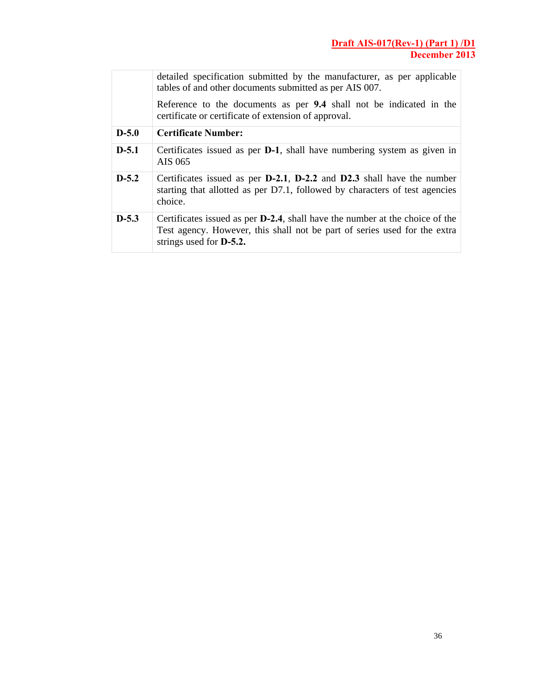|         | detailed specification submitted by the manufacturer, as per applicable<br>tables of and other documents submitted as per AIS 007.                                                                  |
|---------|-----------------------------------------------------------------------------------------------------------------------------------------------------------------------------------------------------|
|         | Reference to the documents as per 9.4 shall not be indicated in the<br>certificate or certificate of extension of approval.                                                                         |
| $D-5.0$ | <b>Certificate Number:</b>                                                                                                                                                                          |
| $D-5.1$ | Certificates issued as per <b>D-1</b> , shall have numbering system as given in<br>AIS 065                                                                                                          |
| $D-5.2$ | Certificates issued as per D-2.1, D-2.2 and D2.3 shall have the number<br>starting that allotted as per D7.1, followed by characters of test agencies<br>choice.                                    |
| $D-5.3$ | Certificates issued as per <b>D-2.4</b> , shall have the number at the choice of the<br>Test agency. However, this shall not be part of series used for the extra<br>strings used for <b>D-5.2.</b> |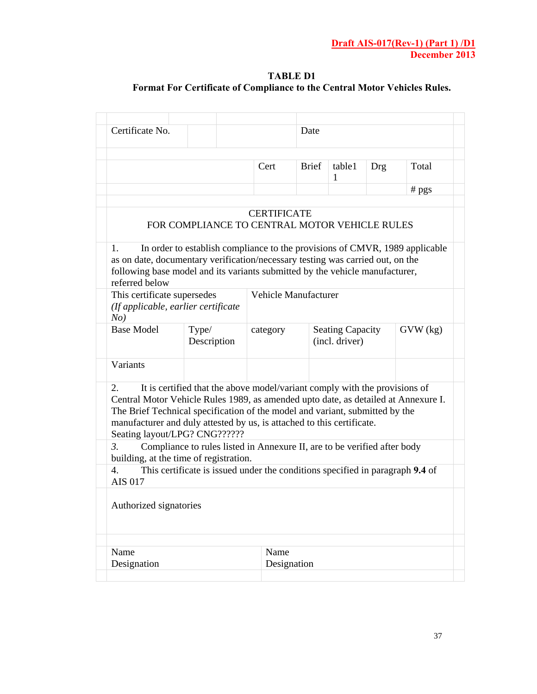## **TABLE D1 Format For Certificate of Compliance to the Central Motor Vehicles Rules.**

| Certificate No.                                                                                                                                                                                                                                                                     |                                                                               |                      | Date         |                                           |     |              |
|-------------------------------------------------------------------------------------------------------------------------------------------------------------------------------------------------------------------------------------------------------------------------------------|-------------------------------------------------------------------------------|----------------------|--------------|-------------------------------------------|-----|--------------|
|                                                                                                                                                                                                                                                                                     |                                                                               | Cert                 | <b>Brief</b> | table1<br>1                               | Drg | Total        |
|                                                                                                                                                                                                                                                                                     |                                                                               |                      |              |                                           |     | $#$ pgs      |
|                                                                                                                                                                                                                                                                                     | FOR COMPLIANCE TO CENTRAL MOTOR VEHICLE RULES                                 | <b>CERTIFICATE</b>   |              |                                           |     |              |
| 1.<br>as on date, documentary verification/necessary testing was carried out, on the<br>following base model and its variants submitted by the vehicle manufacturer,<br>referred below                                                                                              | In order to establish compliance to the provisions of CMVR, 1989 applicable   |                      |              |                                           |     |              |
| This certificate supersedes<br>(If applicable, earlier certificate<br>No)                                                                                                                                                                                                           |                                                                               | Vehicle Manufacturer |              |                                           |     |              |
| <b>Base Model</b>                                                                                                                                                                                                                                                                   | Type/<br>Description                                                          | category             |              | <b>Seating Capacity</b><br>(incl. driver) |     | $GVW$ $(kg)$ |
| Variants                                                                                                                                                                                                                                                                            |                                                                               |                      |              |                                           |     |              |
| 2.<br>Central Motor Vehicle Rules 1989, as amended upto date, as detailed at Annexure I.<br>The Brief Technical specification of the model and variant, submitted by the<br>manufacturer and duly attested by us, is attached to this certificate.<br>Seating layout/LPG? CNG?????? | It is certified that the above model/variant comply with the provisions of    |                      |              |                                           |     |              |
| 3.<br>building, at the time of registration.                                                                                                                                                                                                                                        | Compliance to rules listed in Annexure II, are to be verified after body      |                      |              |                                           |     |              |
|                                                                                                                                                                                                                                                                                     | This certificate is issued under the conditions specified in paragraph 9.4 of |                      |              |                                           |     |              |
|                                                                                                                                                                                                                                                                                     |                                                                               |                      |              |                                           |     |              |
| 4.<br><b>AIS 017</b><br>Authorized signatories                                                                                                                                                                                                                                      |                                                                               |                      |              |                                           |     |              |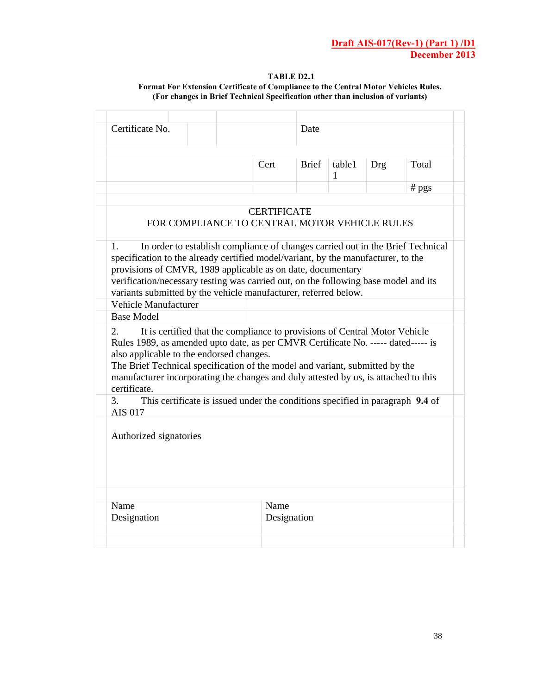#### **TABLE D2.1 Format For Extension Certificate of Compliance to the Central Motor Vehicles Rules. (For changes in Brief Technical Specification other than inclusion of variants)**

| Cert<br>FOR COMPLIANCE TO CENTRAL MOTOR VEHICLE RULES<br>In order to establish compliance of changes carried out in the Brief Technical<br>specification to the already certified model/variant, by the manufacturer, to the<br>provisions of CMVR, 1989 applicable as on date, documentary<br>verification/necessary testing was carried out, on the following base model and its<br>variants submitted by the vehicle manufacturer, referred below.<br>Vehicle Manufacturer<br><b>Base Model</b><br>It is certified that the compliance to provisions of Central Motor Vehicle<br>Rules 1989, as amended upto date, as per CMVR Certificate No. ----- dated----- is<br>also applicable to the endorsed changes.<br>The Brief Technical specification of the model and variant, submitted by the<br>manufacturer incorporating the changes and duly attested by us, is attached to this<br>certificate.<br>3.<br>This certificate is issued under the conditions specified in paragraph 9.4 of | <b>Brief</b><br><b>CERTIFICATE</b> | table1<br>1 | <b>Drg</b> | Total<br>$#$ pgs |
|-------------------------------------------------------------------------------------------------------------------------------------------------------------------------------------------------------------------------------------------------------------------------------------------------------------------------------------------------------------------------------------------------------------------------------------------------------------------------------------------------------------------------------------------------------------------------------------------------------------------------------------------------------------------------------------------------------------------------------------------------------------------------------------------------------------------------------------------------------------------------------------------------------------------------------------------------------------------------------------------------|------------------------------------|-------------|------------|------------------|
|                                                                                                                                                                                                                                                                                                                                                                                                                                                                                                                                                                                                                                                                                                                                                                                                                                                                                                                                                                                                 |                                    |             |            |                  |
|                                                                                                                                                                                                                                                                                                                                                                                                                                                                                                                                                                                                                                                                                                                                                                                                                                                                                                                                                                                                 |                                    |             |            |                  |
|                                                                                                                                                                                                                                                                                                                                                                                                                                                                                                                                                                                                                                                                                                                                                                                                                                                                                                                                                                                                 |                                    |             |            |                  |
|                                                                                                                                                                                                                                                                                                                                                                                                                                                                                                                                                                                                                                                                                                                                                                                                                                                                                                                                                                                                 |                                    |             |            |                  |
|                                                                                                                                                                                                                                                                                                                                                                                                                                                                                                                                                                                                                                                                                                                                                                                                                                                                                                                                                                                                 |                                    |             |            |                  |
|                                                                                                                                                                                                                                                                                                                                                                                                                                                                                                                                                                                                                                                                                                                                                                                                                                                                                                                                                                                                 |                                    |             |            |                  |
|                                                                                                                                                                                                                                                                                                                                                                                                                                                                                                                                                                                                                                                                                                                                                                                                                                                                                                                                                                                                 |                                    |             |            |                  |
| <b>AIS 017</b>                                                                                                                                                                                                                                                                                                                                                                                                                                                                                                                                                                                                                                                                                                                                                                                                                                                                                                                                                                                  |                                    |             |            |                  |
| Authorized signatories                                                                                                                                                                                                                                                                                                                                                                                                                                                                                                                                                                                                                                                                                                                                                                                                                                                                                                                                                                          |                                    |             |            |                  |
| Name<br>Name                                                                                                                                                                                                                                                                                                                                                                                                                                                                                                                                                                                                                                                                                                                                                                                                                                                                                                                                                                                    |                                    |             |            |                  |
| Designation                                                                                                                                                                                                                                                                                                                                                                                                                                                                                                                                                                                                                                                                                                                                                                                                                                                                                                                                                                                     | Designation                        |             |            |                  |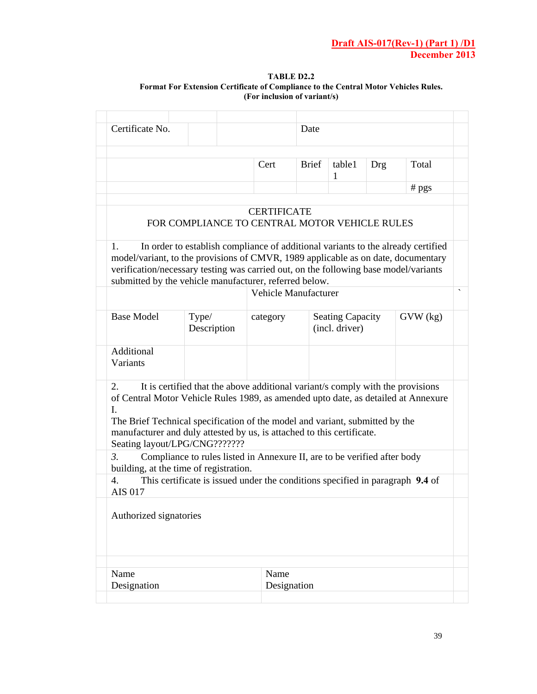#### **TABLE D2.2 Format For Extension Certificate of Compliance to the Central Motor Vehicles Rules. (For inclusion of variant/s)**

| Certificate No.                                                                                                                                                                                                                                                                          |                                                                                  |                    | Date                 |                                           |            |                |
|------------------------------------------------------------------------------------------------------------------------------------------------------------------------------------------------------------------------------------------------------------------------------------------|----------------------------------------------------------------------------------|--------------------|----------------------|-------------------------------------------|------------|----------------|
|                                                                                                                                                                                                                                                                                          |                                                                                  | Cert               | <b>Brief</b>         | table1<br>1                               | <b>Drg</b> | Total          |
|                                                                                                                                                                                                                                                                                          |                                                                                  |                    |                      |                                           |            | $# \text{pgs}$ |
|                                                                                                                                                                                                                                                                                          | FOR COMPLIANCE TO CENTRAL MOTOR VEHICLE RULES                                    | <b>CERTIFICATE</b> |                      |                                           |            |                |
| 1.<br>model/variant, to the provisions of CMVR, 1989 applicable as on date, documentary<br>verification/necessary testing was carried out, on the following base model/variants<br>submitted by the vehicle manufacturer, referred below.                                                | In order to establish compliance of additional variants to the already certified |                    |                      |                                           |            |                |
|                                                                                                                                                                                                                                                                                          |                                                                                  |                    | Vehicle Manufacturer |                                           |            |                |
| <b>Base Model</b>                                                                                                                                                                                                                                                                        | Type/<br>Description                                                             | category           |                      | <b>Seating Capacity</b><br>(incl. driver) |            | GVW (kg)       |
| Additional<br>Variants                                                                                                                                                                                                                                                                   |                                                                                  |                    |                      |                                           |            |                |
| 2.<br>of Central Motor Vehicle Rules 1989, as amended upto date, as detailed at Annexure<br>L<br>The Brief Technical specification of the model and variant, submitted by the<br>manufacturer and duly attested by us, is attached to this certificate.<br>Seating layout/LPG/CNG??????? | It is certified that the above additional variant/s comply with the provisions   |                    |                      |                                           |            |                |
| 3.<br>building, at the time of registration.                                                                                                                                                                                                                                             | Compliance to rules listed in Annexure II, are to be verified after body         |                    |                      |                                           |            |                |
| $\mathbf{4}$ .<br><b>AIS 017</b>                                                                                                                                                                                                                                                         | This certificate is issued under the conditions specified in paragraph 9.4 of    |                    |                      |                                           |            |                |
|                                                                                                                                                                                                                                                                                          |                                                                                  |                    |                      |                                           |            |                |
|                                                                                                                                                                                                                                                                                          |                                                                                  |                    |                      |                                           |            |                |
| Authorized signatories<br>Name                                                                                                                                                                                                                                                           |                                                                                  | Name               |                      |                                           |            |                |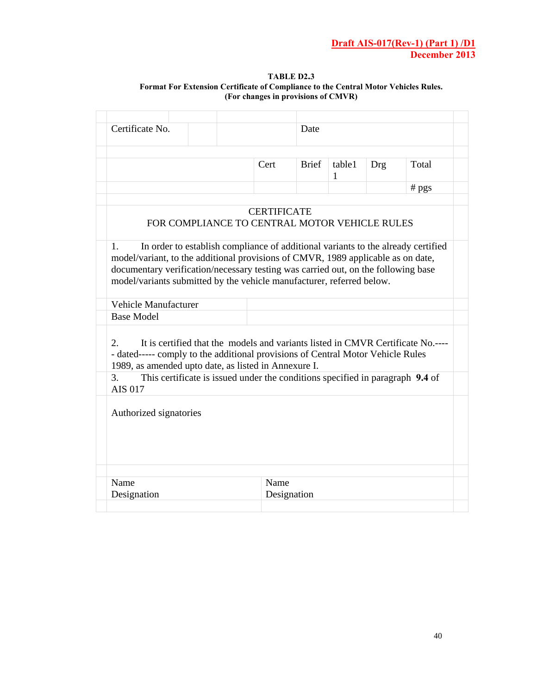#### **TABLE D2.3 Format For Extension Certificate of Compliance to the Central Motor Vehicles Rules. (For changes in provisions of CMVR)**

| Certificate No.                                                                                                                                                                                                                                      |  |                                               |                    | Date   |            |       |                                                                                  |
|------------------------------------------------------------------------------------------------------------------------------------------------------------------------------------------------------------------------------------------------------|--|-----------------------------------------------|--------------------|--------|------------|-------|----------------------------------------------------------------------------------|
|                                                                                                                                                                                                                                                      |  | Cert                                          | <b>Brief</b>       | table1 | <b>Drg</b> | Total |                                                                                  |
|                                                                                                                                                                                                                                                      |  |                                               |                    |        | 1          |       | $#$ pgs                                                                          |
|                                                                                                                                                                                                                                                      |  | FOR COMPLIANCE TO CENTRAL MOTOR VEHICLE RULES | <b>CERTIFICATE</b> |        |            |       |                                                                                  |
| 1.<br>model/variant, to the additional provisions of CMVR, 1989 applicable as on date,<br>documentary verification/necessary testing was carried out, on the following base<br>model/variants submitted by the vehicle manufacturer, referred below. |  |                                               |                    |        |            |       | In order to establish compliance of additional variants to the already certified |
| Vehicle Manufacturer<br><b>Base Model</b>                                                                                                                                                                                                            |  |                                               |                    |        |            |       |                                                                                  |
| 2.<br>- dated----- comply to the additional provisions of Central Motor Vehicle Rules<br>1989, as amended upto date, as listed in Annexure I.                                                                                                        |  |                                               |                    |        |            |       | It is certified that the models and variants listed in CMVR Certificate No.----  |
| 3.<br><b>AIS 017</b>                                                                                                                                                                                                                                 |  |                                               |                    |        |            |       | This certificate is issued under the conditions specified in paragraph 9.4 of    |
| Authorized signatories                                                                                                                                                                                                                               |  |                                               |                    |        |            |       |                                                                                  |
|                                                                                                                                                                                                                                                      |  |                                               |                    |        |            |       |                                                                                  |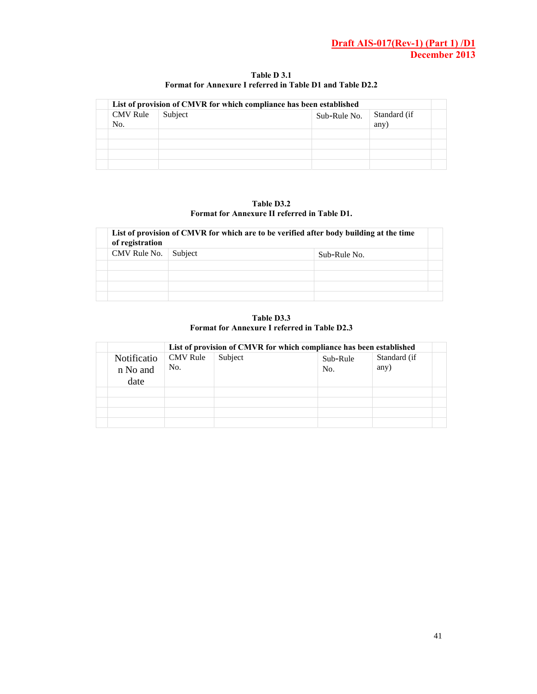|                 | List of provision of CMVR for which compliance has been established |              |                      |  |
|-----------------|---------------------------------------------------------------------|--------------|----------------------|--|
| CMV Rule<br>No. | Subject                                                             | Sub-Rule No. | Standard (if<br>any) |  |
|                 |                                                                     |              |                      |  |
|                 |                                                                     |              |                      |  |
|                 |                                                                     |              |                      |  |
|                 |                                                                     |              |                      |  |

**Table D 3.1 Format for Annexure I referred in Table D1 and Table D2.2** 

**Table D3.2 Format for Annexure II referred in Table D1.** 

| of registration | List of provision of CMVR for which are to be verified after body building at the time |              |  |
|-----------------|----------------------------------------------------------------------------------------|--------------|--|
| CMV Rule No.    | Subject                                                                                | Sub-Rule No. |  |
|                 |                                                                                        |              |  |
|                 |                                                                                        |              |  |
|                 |                                                                                        |              |  |
|                 |                                                                                        |              |  |

**Table D3.3 Format for Annexure I referred in Table D2.3** 

|                                 |                        | List of provision of CMVR for which compliance has been established |                 |                      |  |
|---------------------------------|------------------------|---------------------------------------------------------------------|-----------------|----------------------|--|
| Notificatio<br>n No and<br>date | <b>CMV</b> Rule<br>No. | Subject                                                             | Sub-Rule<br>No. | Standard (if<br>any) |  |
|                                 |                        |                                                                     |                 |                      |  |
|                                 |                        |                                                                     |                 |                      |  |
|                                 |                        |                                                                     |                 |                      |  |
|                                 |                        |                                                                     |                 |                      |  |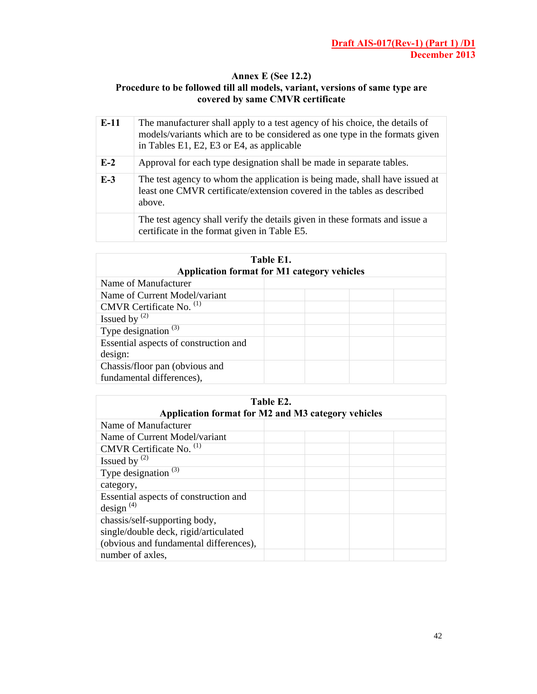#### **Annex E (See 12.2) Procedure to be followed till all models, variant, versions of same type are covered by same CMVR certificate**

| $E-11$ | The manufacturer shall apply to a test agency of his choice, the details of<br>models/variants which are to be considered as one type in the formats given<br>in Tables E1, E2, E3 or E4, as applicable |
|--------|---------------------------------------------------------------------------------------------------------------------------------------------------------------------------------------------------------|
| $E-2$  | Approval for each type designation shall be made in separate tables.                                                                                                                                    |
| $E-3$  | The test agency to whom the application is being made, shall have issued at<br>least one CMVR certificate/extension covered in the tables as described<br>above.                                        |
|        | The test agency shall verify the details given in these formats and issue a<br>certificate in the format given in Table E5.                                                                             |

| Table E1.<br><b>Application format for M1 category vehicles</b> |  |  |
|-----------------------------------------------------------------|--|--|
| Name of Manufacturer                                            |  |  |
| Name of Current Model/variant                                   |  |  |
| CMVR Certificate No. <sup>(1)</sup>                             |  |  |
| Issued by $(2)$                                                 |  |  |
| Type designation $(3)$                                          |  |  |
| Essential aspects of construction and                           |  |  |
| design:                                                         |  |  |
| Chassis/floor pan (obvious and                                  |  |  |
| fundamental differences),                                       |  |  |

| Table E2.<br>Application format for M2 and M3 category vehicles        |  |  |  |
|------------------------------------------------------------------------|--|--|--|
| Name of Manufacturer                                                   |  |  |  |
| Name of Current Model/variant                                          |  |  |  |
| CMVR Certificate No. <sup>(1)</sup>                                    |  |  |  |
| Issued by $^{(2)}$                                                     |  |  |  |
| Type designation $(3)$                                                 |  |  |  |
| category,                                                              |  |  |  |
| Essential aspects of construction and<br>design $^{(4)}$               |  |  |  |
| chassis/self-supporting body,<br>single/double deck, rigid/articulated |  |  |  |
| (obvious and fundamental differences),                                 |  |  |  |
| number of axles,                                                       |  |  |  |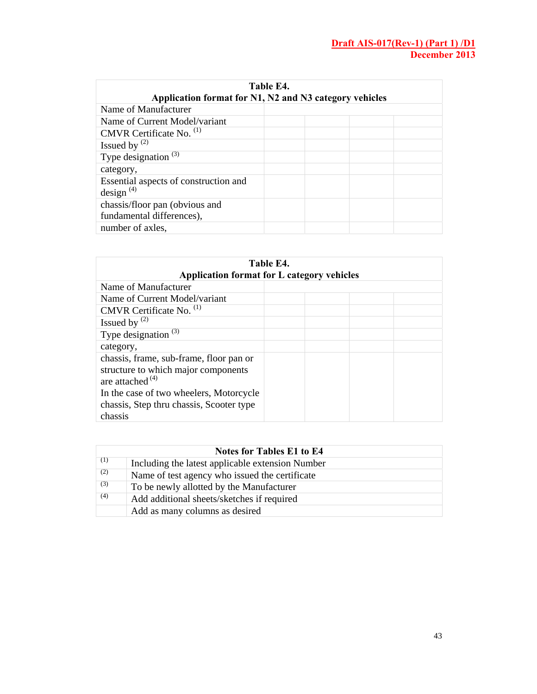| Table E4.<br>Application format for N1, N2 and N3 category vehicles |  |  |
|---------------------------------------------------------------------|--|--|
| Name of Manufacturer                                                |  |  |
| Name of Current Model/variant                                       |  |  |
| CMVR Certificate No. <sup>(1)</sup>                                 |  |  |
| Issued by $(2)$                                                     |  |  |
| Type designation $(3)$                                              |  |  |
| category,                                                           |  |  |
| Essential aspects of construction and<br>design $^{(4)}$            |  |  |
| chassis/floor pan (obvious and<br>fundamental differences),         |  |  |
| number of axles,                                                    |  |  |

| Table E4.<br>Application format for L category vehicles                                                                                                                                     |  |  |
|---------------------------------------------------------------------------------------------------------------------------------------------------------------------------------------------|--|--|
| Name of Manufacturer                                                                                                                                                                        |  |  |
| Name of Current Model/variant                                                                                                                                                               |  |  |
| CMVR Certificate No. <sup>(1)</sup>                                                                                                                                                         |  |  |
| Issued by $(2)$                                                                                                                                                                             |  |  |
| Type designation $(3)$                                                                                                                                                                      |  |  |
| category,                                                                                                                                                                                   |  |  |
| chassis, frame, sub-frame, floor pan or<br>structure to which major components<br>are attached $(4)$<br>In the case of two wheelers, Motorcycle<br>chassis, Step thru chassis, Scooter type |  |  |
| chassis                                                                                                                                                                                     |  |  |

|     | Notes for Tables E1 to E4                        |
|-----|--------------------------------------------------|
| (1) | Including the latest applicable extension Number |
| (2) | Name of test agency who issued the certificate   |
| (3) | To be newly allotted by the Manufacturer         |
| (4) | Add additional sheets/sketches if required       |
|     | Add as many columns as desired                   |